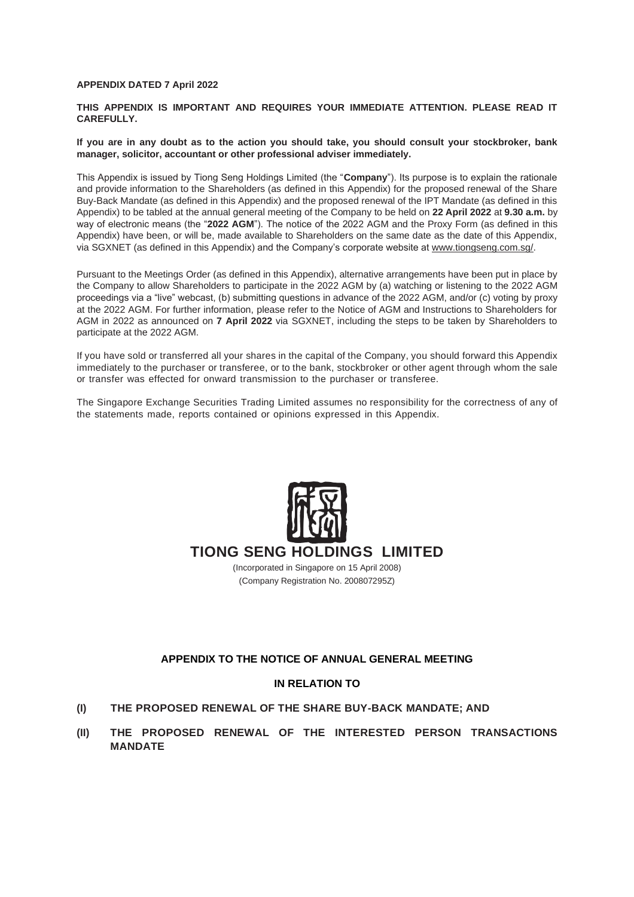#### **APPENDIX DATED 7 April 2022**

#### **THIS APPENDIX IS IMPORTANT AND REQUIRES YOUR IMMEDIATE ATTENTION. PLEASE READ IT CAREFULLY.**

#### **If you are in any doubt as to the action you should take, you should consult your stockbroker, bank manager, solicitor, accountant or other professional adviser immediately.**

This Appendix is issued by Tiong Seng Holdings Limited (the "**Company**"). Its purpose is to explain the rationale and provide information to the Shareholders (as defined in this Appendix) for the proposed renewal of the Share Buy-Back Mandate (as defined in this Appendix) and the proposed renewal of the IPT Mandate (as defined in this Appendix) to be tabled at the annual general meeting of the Company to be held on **22 April 2022** at **9.30 a.m.** by way of electronic means (the "**2022 AGM**"). The notice of the 2022 AGM and the Proxy Form (as defined in this Appendix) have been, or will be, made available to Shareholders on the same date as the date of this Appendix, via SGXNET (as defined in this Appendix) and the Company's corporate website at [www.tiongseng.com.sg/.](http://www.tiongseng.com.sg/)

Pursuant to the Meetings Order (as defined in this Appendix), alternative arrangements have been put in place by the Company to allow Shareholders to participate in the 2022 AGM by (a) watching or listening to the 2022 AGM proceedings via a "live" webcast, (b) submitting questions in advance of the 2022 AGM, and/or (c) voting by proxy at the 2022 AGM. For further information, please refer to the Notice of AGM and Instructions to Shareholders for AGM in 2022 as announced on **7 April 2022** via SGXNET, including the steps to be taken by Shareholders to participate at the 2022 AGM.

If you have sold or transferred all your shares in the capital of the Company, you should forward this Appendix immediately to the purchaser or transferee, or to the bank, stockbroker or other agent through whom the sale or transfer was effected for onward transmission to the purchaser or transferee.

The Singapore Exchange Securities Trading Limited assumes no responsibility for the correctness of any of the statements made, reports contained or opinions expressed in this Appendix.



# **TIONG SENG HOLDINGS LIMITED**

(Incorporated in Singapore on 15 April 2008) (Company Registration No. 200807295Z)

### **APPENDIX TO THE NOTICE OF ANNUAL GENERAL MEETING**

#### **IN RELATION TO**

- **(I) THE PROPOSED RENEWAL OF THE SHARE BUY-BACK MANDATE; AND**
- **(II) THE PROPOSED RENEWAL OF THE INTERESTED PERSON TRANSACTIONS MANDATE**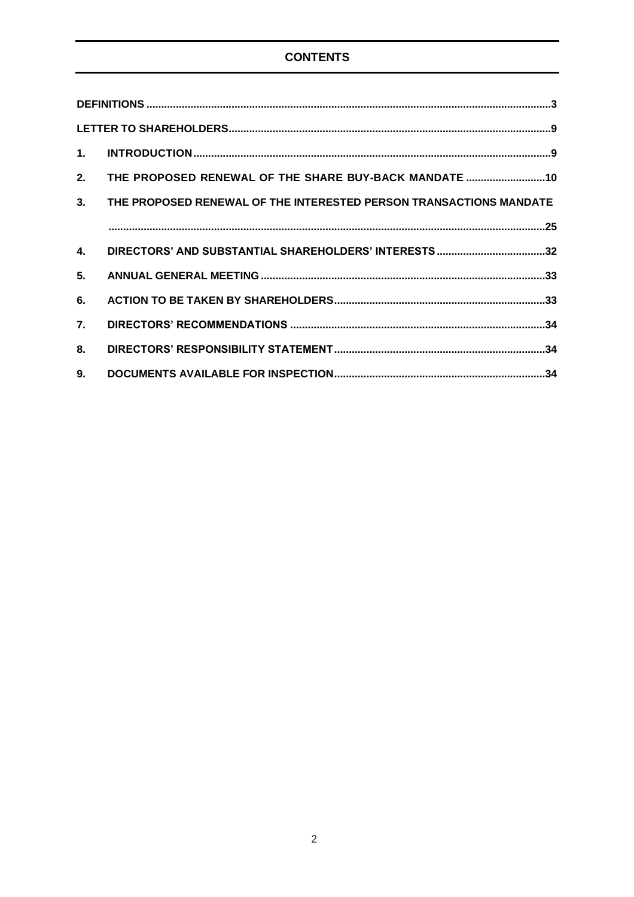# **CONTENTS**

| 2. | THE PROPOSED RENEWAL OF THE SHARE BUY-BACK MANDATE 10              |
|----|--------------------------------------------------------------------|
| 3. | THE PROPOSED RENEWAL OF THE INTERESTED PERSON TRANSACTIONS MANDATE |
|    |                                                                    |
| 4. |                                                                    |
| 5. |                                                                    |
| 6. |                                                                    |
| 7. |                                                                    |
| 8. |                                                                    |
| 9. |                                                                    |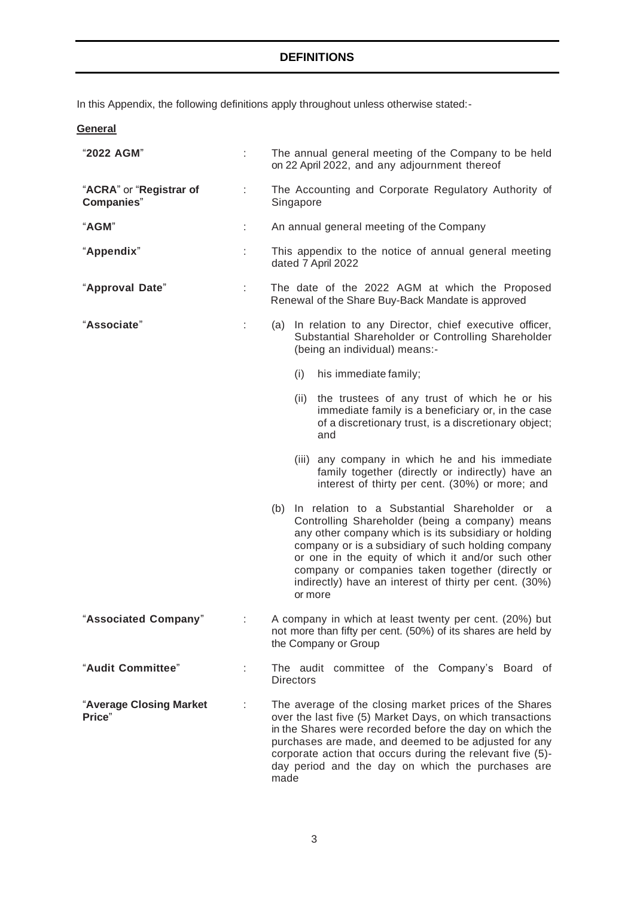<span id="page-2-0"></span>In this Appendix, the following definitions apply throughout unless otherwise stated:-

| General                                       |   |                                                                                                                                                                                                                                                                                                                                                                                                        |
|-----------------------------------------------|---|--------------------------------------------------------------------------------------------------------------------------------------------------------------------------------------------------------------------------------------------------------------------------------------------------------------------------------------------------------------------------------------------------------|
| "2022 AGM"                                    |   | The annual general meeting of the Company to be held<br>on 22 April 2022, and any adjournment thereof                                                                                                                                                                                                                                                                                                  |
| "ACRA" or "Registrar of<br><b>Companies</b> " | ÷ | The Accounting and Corporate Regulatory Authority of<br>Singapore                                                                                                                                                                                                                                                                                                                                      |
| "AGM"                                         | ÷ | An annual general meeting of the Company                                                                                                                                                                                                                                                                                                                                                               |
| "Appendix"                                    |   | This appendix to the notice of annual general meeting<br>dated 7 April 2022                                                                                                                                                                                                                                                                                                                            |
| "Approval Date"                               | t | The date of the 2022 AGM at which the Proposed<br>Renewal of the Share Buy-Back Mandate is approved                                                                                                                                                                                                                                                                                                    |
| "Associate"                                   | ÷ | (a) In relation to any Director, chief executive officer,<br>Substantial Shareholder or Controlling Shareholder<br>(being an individual) means:-                                                                                                                                                                                                                                                       |
|                                               |   | (i)<br>his immediate family;                                                                                                                                                                                                                                                                                                                                                                           |
|                                               |   | the trustees of any trust of which he or his<br>(ii)<br>immediate family is a beneficiary or, in the case<br>of a discretionary trust, is a discretionary object;<br>and                                                                                                                                                                                                                               |
|                                               |   | (iii) any company in which he and his immediate<br>family together (directly or indirectly) have an<br>interest of thirty per cent. (30%) or more; and                                                                                                                                                                                                                                                 |
|                                               |   | (b) In relation to a Substantial Shareholder or<br>- a<br>Controlling Shareholder (being a company) means<br>any other company which is its subsidiary or holding<br>company or is a subsidiary of such holding company<br>or one in the equity of which it and/or such other<br>company or companies taken together (directly or<br>indirectly) have an interest of thirty per cent. (30%)<br>or more |
| "Associated Company"                          |   | A company in which at least twenty per cent. (20%) but<br>not more than fifty per cent. (50%) of its shares are held by<br>the Company or Group                                                                                                                                                                                                                                                        |
| "Audit Committee"                             |   | The audit committee of the Company's Board of<br><b>Directors</b>                                                                                                                                                                                                                                                                                                                                      |
| "Average Closing Market<br>Price"             | ÷ | The average of the closing market prices of the Shares<br>over the last five (5) Market Days, on which transactions<br>in the Shares were recorded before the day on which the<br>purchases are made, and deemed to be adjusted for any<br>corporate action that occurs during the relevant five (5)-<br>day period and the day on which the purchases are<br>made                                     |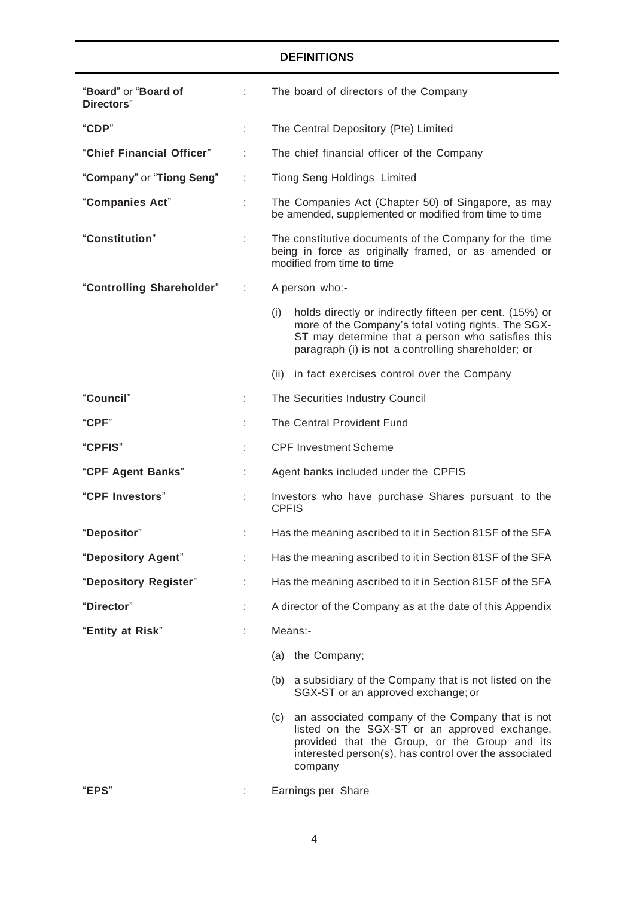| "Board" or "Board of<br>Directors" | t. | The board of directors of the Company                                                                                                                                                                                            |  |  |  |
|------------------------------------|----|----------------------------------------------------------------------------------------------------------------------------------------------------------------------------------------------------------------------------------|--|--|--|
| "CDP"                              |    | The Central Depository (Pte) Limited                                                                                                                                                                                             |  |  |  |
| "Chief Financial Officer"          |    | The chief financial officer of the Company                                                                                                                                                                                       |  |  |  |
| "Company" or "Tiong Seng"          |    | <b>Tiong Seng Holdings Limited</b>                                                                                                                                                                                               |  |  |  |
| "Companies Act"                    |    | The Companies Act (Chapter 50) of Singapore, as may<br>be amended, supplemented or modified from time to time                                                                                                                    |  |  |  |
| "Constitution"                     |    | The constitutive documents of the Company for the time<br>being in force as originally framed, or as amended or<br>modified from time to time                                                                                    |  |  |  |
| "Controlling Shareholder"          | ÷  | A person who:-                                                                                                                                                                                                                   |  |  |  |
|                                    |    | holds directly or indirectly fifteen per cent. (15%) or<br>(i)<br>more of the Company's total voting rights. The SGX-<br>ST may determine that a person who satisfies this<br>paragraph (i) is not a controlling shareholder; or |  |  |  |
|                                    |    | (ii) in fact exercises control over the Company                                                                                                                                                                                  |  |  |  |
| "Council"                          |    | The Securities Industry Council                                                                                                                                                                                                  |  |  |  |
| "CPF"                              |    | The Central Provident Fund                                                                                                                                                                                                       |  |  |  |
| "CPFIS"                            |    | <b>CPF Investment Scheme</b>                                                                                                                                                                                                     |  |  |  |
| "CPF Agent Banks"                  |    | Agent banks included under the CPFIS                                                                                                                                                                                             |  |  |  |
| "CPF Investors"                    |    | Investors who have purchase Shares pursuant to the<br><b>CPFIS</b>                                                                                                                                                               |  |  |  |
| "Depositor"                        |    | Has the meaning ascribed to it in Section 81SF of the SFA                                                                                                                                                                        |  |  |  |
| "Depository Agent"                 |    | Has the meaning ascribed to it in Section 81SF of the SFA                                                                                                                                                                        |  |  |  |
| "Depository Register"              | ÷. | Has the meaning ascribed to it in Section 81SF of the SFA                                                                                                                                                                        |  |  |  |
| "Director"                         |    | A director of the Company as at the date of this Appendix                                                                                                                                                                        |  |  |  |
| "Entity at Risk"                   |    | Means:-                                                                                                                                                                                                                          |  |  |  |
|                                    |    | (a) the Company;                                                                                                                                                                                                                 |  |  |  |
|                                    |    | (b) a subsidiary of the Company that is not listed on the<br>SGX-ST or an approved exchange; or                                                                                                                                  |  |  |  |
|                                    |    | an associated company of the Company that is not<br>(c)<br>listed on the SGX-ST or an approved exchange,<br>provided that the Group, or the Group and its<br>interested person(s), has control over the associated<br>company    |  |  |  |
| "EPS"                              |    | Earnings per Share                                                                                                                                                                                                               |  |  |  |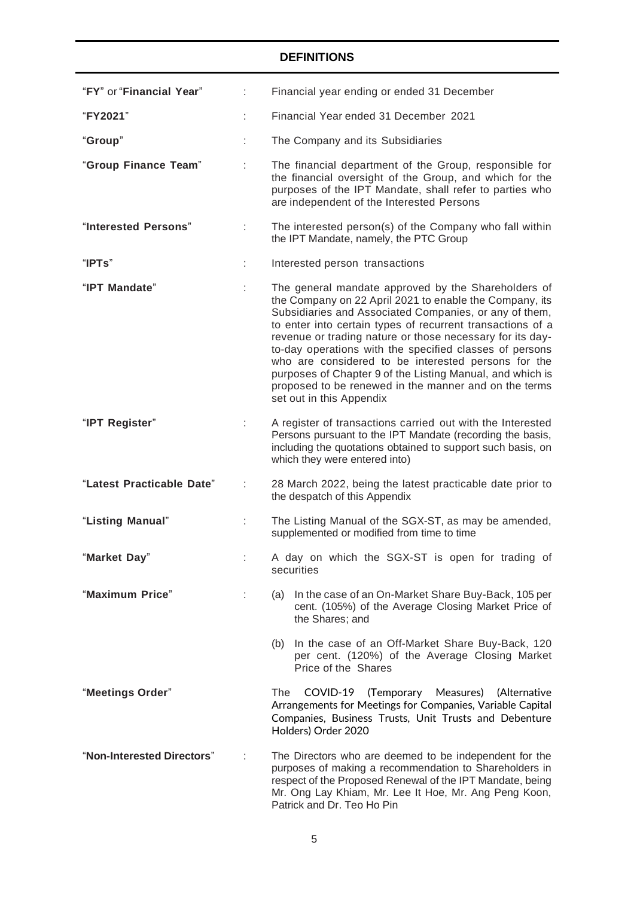| "FY" or "Financial Year"   | Financial year ending or ended 31 December                                                                                                                                                                                                                                                                                                                                                                                                                                                                                                                              |  |  |  |
|----------------------------|-------------------------------------------------------------------------------------------------------------------------------------------------------------------------------------------------------------------------------------------------------------------------------------------------------------------------------------------------------------------------------------------------------------------------------------------------------------------------------------------------------------------------------------------------------------------------|--|--|--|
| "FY2021"                   | Financial Year ended 31 December 2021                                                                                                                                                                                                                                                                                                                                                                                                                                                                                                                                   |  |  |  |
| "Group"                    | The Company and its Subsidiaries                                                                                                                                                                                                                                                                                                                                                                                                                                                                                                                                        |  |  |  |
| "Group Finance Team"       | The financial department of the Group, responsible for<br>the financial oversight of the Group, and which for the<br>purposes of the IPT Mandate, shall refer to parties who<br>are independent of the Interested Persons                                                                                                                                                                                                                                                                                                                                               |  |  |  |
| "Interested Persons"       | The interested person(s) of the Company who fall within<br>the IPT Mandate, namely, the PTC Group                                                                                                                                                                                                                                                                                                                                                                                                                                                                       |  |  |  |
| "IPTs"                     | Interested person transactions                                                                                                                                                                                                                                                                                                                                                                                                                                                                                                                                          |  |  |  |
| "IPT Mandate"              | The general mandate approved by the Shareholders of<br>the Company on 22 April 2021 to enable the Company, its<br>Subsidiaries and Associated Companies, or any of them,<br>to enter into certain types of recurrent transactions of a<br>revenue or trading nature or those necessary for its day-<br>to-day operations with the specified classes of persons<br>who are considered to be interested persons for the<br>purposes of Chapter 9 of the Listing Manual, and which is<br>proposed to be renewed in the manner and on the terms<br>set out in this Appendix |  |  |  |
| "IPT Register"             | A register of transactions carried out with the Interested<br>Persons pursuant to the IPT Mandate (recording the basis,<br>including the quotations obtained to support such basis, on<br>which they were entered into)                                                                                                                                                                                                                                                                                                                                                 |  |  |  |
| "Latest Practicable Date"  | 28 March 2022, being the latest practicable date prior to<br>the despatch of this Appendix                                                                                                                                                                                                                                                                                                                                                                                                                                                                              |  |  |  |
| "Listing Manual"           | The Listing Manual of the SGX-ST, as may be amended,<br>supplemented or modified from time to time                                                                                                                                                                                                                                                                                                                                                                                                                                                                      |  |  |  |
| "Market Day"               | A day on which the SGX-ST is open for trading of<br>securities                                                                                                                                                                                                                                                                                                                                                                                                                                                                                                          |  |  |  |
| "Maximum Price"            | In the case of an On-Market Share Buy-Back, 105 per<br>(a)<br>cent. (105%) of the Average Closing Market Price of<br>the Shares; and                                                                                                                                                                                                                                                                                                                                                                                                                                    |  |  |  |
|                            | In the case of an Off-Market Share Buy-Back, 120<br>(b)<br>per cent. (120%) of the Average Closing Market<br>Price of the Shares                                                                                                                                                                                                                                                                                                                                                                                                                                        |  |  |  |
| "Meetings Order"           | COVID-19 (Temporary Measures)<br>The:<br>(Alternative<br>Arrangements for Meetings for Companies, Variable Capital<br>Companies, Business Trusts, Unit Trusts and Debenture<br>Holders) Order 2020                                                                                                                                                                                                                                                                                                                                                                      |  |  |  |
| "Non-Interested Directors" | The Directors who are deemed to be independent for the<br>purposes of making a recommendation to Shareholders in<br>respect of the Proposed Renewal of the IPT Mandate, being<br>Mr. Ong Lay Khiam, Mr. Lee It Hoe, Mr. Ang Peng Koon,<br>Patrick and Dr. Teo Ho Pin                                                                                                                                                                                                                                                                                                    |  |  |  |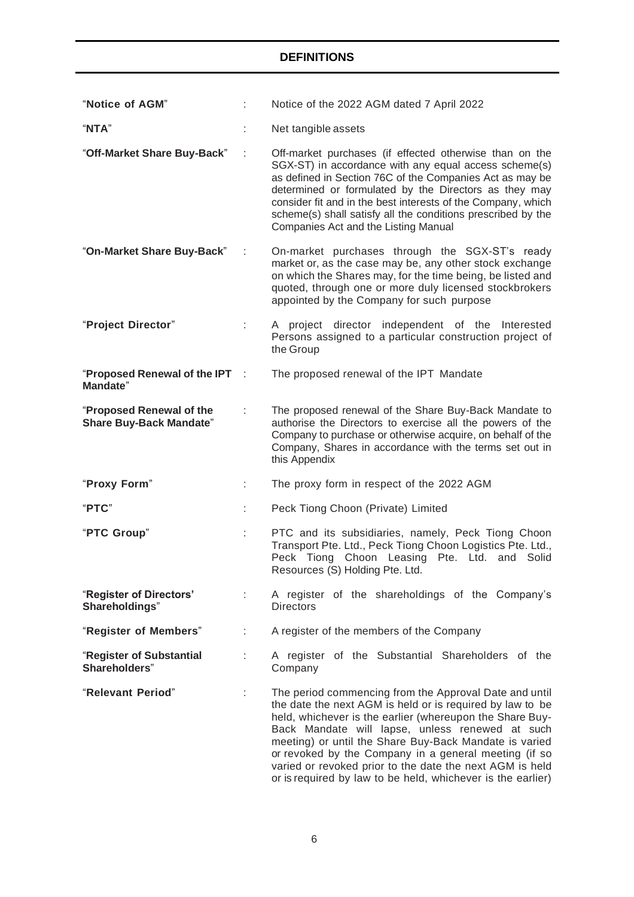| "Notice of AGM"                                            |      | Notice of the 2022 AGM dated 7 April 2022                                                                                                                                                                                                                                                                                                                                                                                                                                        |  |  |  |  |
|------------------------------------------------------------|------|----------------------------------------------------------------------------------------------------------------------------------------------------------------------------------------------------------------------------------------------------------------------------------------------------------------------------------------------------------------------------------------------------------------------------------------------------------------------------------|--|--|--|--|
| "NTA"                                                      |      | Net tangible assets                                                                                                                                                                                                                                                                                                                                                                                                                                                              |  |  |  |  |
| "Off-Market Share Buy-Back"                                |      | Off-market purchases (if effected otherwise than on the<br>SGX-ST) in accordance with any equal access scheme(s)<br>as defined in Section 76C of the Companies Act as may be<br>determined or formulated by the Directors as they may<br>consider fit and in the best interests of the Company, which<br>scheme(s) shall satisfy all the conditions prescribed by the<br>Companies Act and the Listing Manual                                                                    |  |  |  |  |
| "On-Market Share Buy-Back"                                 |      | On-market purchases through the SGX-ST's ready<br>market or, as the case may be, any other stock exchange<br>on which the Shares may, for the time being, be listed and<br>quoted, through one or more duly licensed stockbrokers<br>appointed by the Company for such purpose                                                                                                                                                                                                   |  |  |  |  |
| "Project Director"                                         |      | A project director independent of the Interested<br>Persons assigned to a particular construction project of<br>the Group                                                                                                                                                                                                                                                                                                                                                        |  |  |  |  |
| "Proposed Renewal of the IPT<br><b>Mandate"</b>            | - 11 | The proposed renewal of the IPT Mandate                                                                                                                                                                                                                                                                                                                                                                                                                                          |  |  |  |  |
| "Proposed Renewal of the<br><b>Share Buy-Back Mandate"</b> |      | The proposed renewal of the Share Buy-Back Mandate to<br>authorise the Directors to exercise all the powers of the<br>Company to purchase or otherwise acquire, on behalf of the<br>Company, Shares in accordance with the terms set out in<br>this Appendix                                                                                                                                                                                                                     |  |  |  |  |
| "Proxy Form"                                               | ÷.   | The proxy form in respect of the 2022 AGM                                                                                                                                                                                                                                                                                                                                                                                                                                        |  |  |  |  |
| "PTC"                                                      |      | Peck Tiong Choon (Private) Limited                                                                                                                                                                                                                                                                                                                                                                                                                                               |  |  |  |  |
| "PTC Group"                                                |      | PTC and its subsidiaries, namely, Peck Tiong Choon<br>Transport Pte. Ltd., Peck Tiong Choon Logistics Pte. Ltd.,<br>Peck Tiong Choon Leasing Pte. Ltd. and Solid<br>Resources (S) Holding Pte. Ltd.                                                                                                                                                                                                                                                                              |  |  |  |  |
| "Register of Directors'<br>Shareholdings"                  |      | A register of the shareholdings of the Company's<br><b>Directors</b>                                                                                                                                                                                                                                                                                                                                                                                                             |  |  |  |  |
| "Register of Members"                                      | ÷    | A register of the members of the Company                                                                                                                                                                                                                                                                                                                                                                                                                                         |  |  |  |  |
| "Register of Substantial<br>Shareholders"                  |      | A register of the Substantial Shareholders of the<br>Company                                                                                                                                                                                                                                                                                                                                                                                                                     |  |  |  |  |
| "Relevant Period"                                          |      | The period commencing from the Approval Date and until<br>the date the next AGM is held or is required by law to be<br>held, whichever is the earlier (whereupon the Share Buy-<br>Back Mandate will lapse, unless renewed at such<br>meeting) or until the Share Buy-Back Mandate is varied<br>or revoked by the Company in a general meeting (if so<br>varied or revoked prior to the date the next AGM is held<br>or is required by law to be held, whichever is the earlier) |  |  |  |  |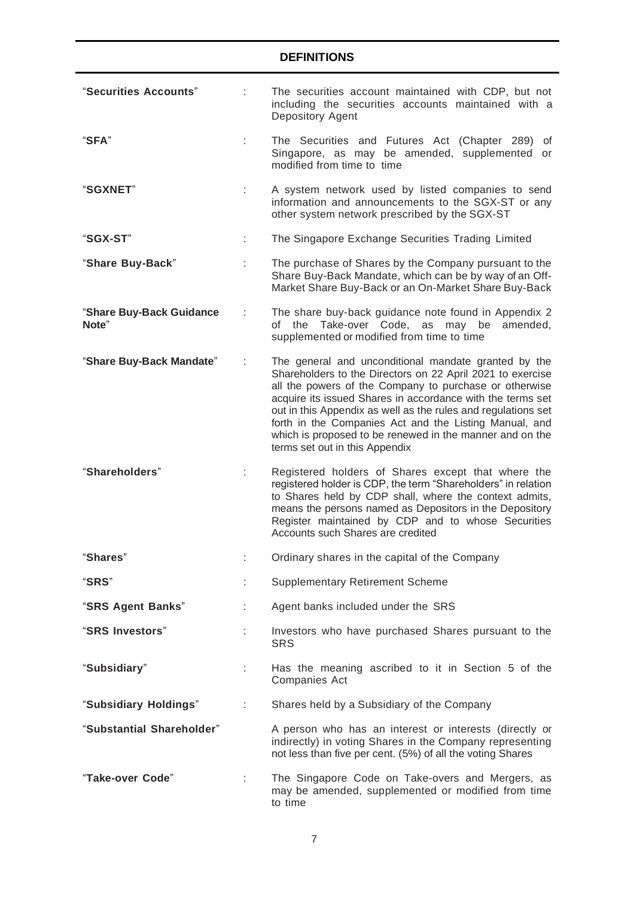| "Securities Accounts"             |   | The securities account maintained with CDP, but not<br>including the securities accounts maintained with a<br>Depository Agent                                                                                                                                                                                                                                                                                                                                      |
|-----------------------------------|---|---------------------------------------------------------------------------------------------------------------------------------------------------------------------------------------------------------------------------------------------------------------------------------------------------------------------------------------------------------------------------------------------------------------------------------------------------------------------|
| "SFA"                             |   | The Securities and Futures Act (Chapter 289)<br>ot<br>Singapore, as may be amended, supplemented or<br>modified from time to time                                                                                                                                                                                                                                                                                                                                   |
| <b>"SGXNET"</b>                   |   | A system network used by listed companies to send<br>information and announcements to the SGX-ST or any<br>other system network prescribed by the SGX-ST                                                                                                                                                                                                                                                                                                            |
| "SGX-ST"                          |   | The Singapore Exchange Securities Trading Limited                                                                                                                                                                                                                                                                                                                                                                                                                   |
| "Share Buy-Back"                  | ÷ | The purchase of Shares by the Company pursuant to the<br>Share Buy-Back Mandate, which can be by way of an Off-<br>Market Share Buy-Back or an On-Market Share Buy-Back                                                                                                                                                                                                                                                                                             |
| "Share Buy-Back Guidance<br>Note" | ÷ | The share buy-back guidance note found in Appendix 2<br>of the Take-over Code, as<br>may be<br>amended.<br>supplemented or modified from time to time                                                                                                                                                                                                                                                                                                               |
| "Share Buy-Back Mandate"          |   | The general and unconditional mandate granted by the<br>Shareholders to the Directors on 22 April 2021 to exercise<br>all the powers of the Company to purchase or otherwise<br>acquire its issued Shares in accordance with the terms set<br>out in this Appendix as well as the rules and regulations set<br>forth in the Companies Act and the Listing Manual, and<br>which is proposed to be renewed in the manner and on the<br>terms set out in this Appendix |
| "Shareholders"                    |   | Registered holders of Shares except that where the<br>registered holder is CDP, the term "Shareholders" in relation<br>to Shares held by CDP shall, where the context admits,<br>means the persons named as Depositors in the Depository<br>Register maintained by CDP and to whose Securities<br>Accounts such Shares are credited                                                                                                                                 |
| "Shares"                          |   | Ordinary shares in the capital of the Company                                                                                                                                                                                                                                                                                                                                                                                                                       |
| "SRS"                             |   | <b>Supplementary Retirement Scheme</b>                                                                                                                                                                                                                                                                                                                                                                                                                              |
| "SRS Agent Banks"                 |   | Agent banks included under the SRS                                                                                                                                                                                                                                                                                                                                                                                                                                  |
| "SRS Investors"                   |   | Investors who have purchased Shares pursuant to the<br><b>SRS</b>                                                                                                                                                                                                                                                                                                                                                                                                   |
| "Subsidiary"                      |   | Has the meaning ascribed to it in Section 5 of the<br>Companies Act                                                                                                                                                                                                                                                                                                                                                                                                 |
| "Subsidiary Holdings"             | ÷ | Shares held by a Subsidiary of the Company                                                                                                                                                                                                                                                                                                                                                                                                                          |
| "Substantial Shareholder"         |   | A person who has an interest or interests (directly or<br>indirectly) in voting Shares in the Company representing<br>not less than five per cent. (5%) of all the voting Shares                                                                                                                                                                                                                                                                                    |
| "Take-over Code"                  |   | The Singapore Code on Take-overs and Mergers, as<br>may be amended, supplemented or modified from time<br>to time                                                                                                                                                                                                                                                                                                                                                   |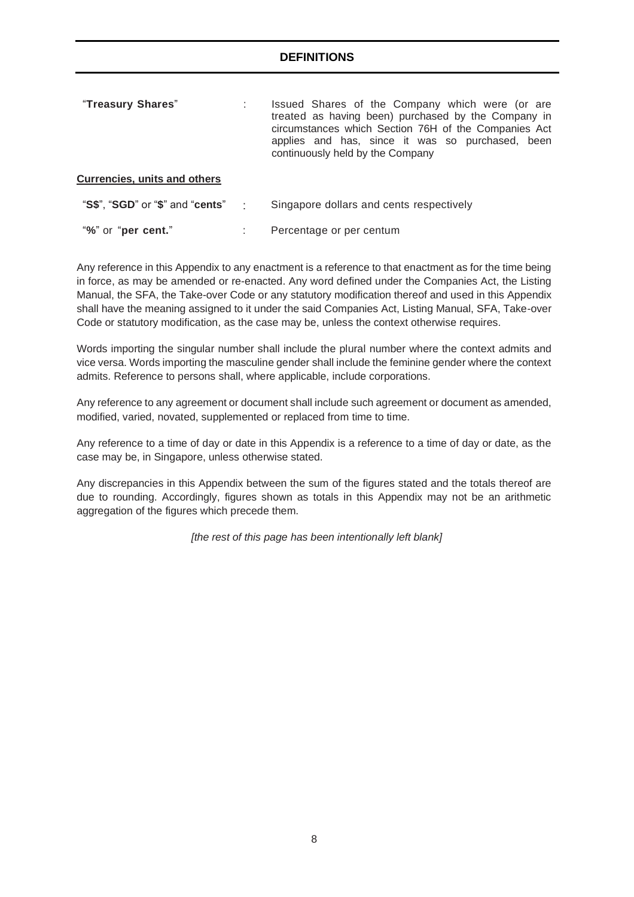| "Treasury Shares"                   | Issued Shares of the Company which were (or are<br>treated as having been) purchased by the Company in<br>circumstances which Section 76H of the Companies Act<br>applies and has, since it was so purchased, been<br>continuously held by the Company |
|-------------------------------------|--------------------------------------------------------------------------------------------------------------------------------------------------------------------------------------------------------------------------------------------------------|
| <b>Currencies, units and others</b> |                                                                                                                                                                                                                                                        |
| "S\$", "SGD" or "\$" and "cents"    | Singapore dollars and cents respectively                                                                                                                                                                                                               |

"**%**" or "**per cent.**" : Percentage or per centum

Any reference in this Appendix to any enactment is a reference to that enactment as for the time being in force, as may be amended or re-enacted. Any word defined under the Companies Act, the Listing Manual, the SFA, the Take-over Code or any statutory modification thereof and used in this Appendix shall have the meaning assigned to it under the said Companies Act, Listing Manual, SFA, Take-over Code or statutory modification, as the case may be, unless the context otherwise requires.

Words importing the singular number shall include the plural number where the context admits and vice versa. Words importing the masculine gender shall include the feminine gender where the context admits. Reference to persons shall, where applicable, include corporations.

Any reference to any agreement or document shall include such agreement or document as amended, modified, varied, novated, supplemented or replaced from time to time.

Any reference to a time of day or date in this Appendix is a reference to a time of day or date, as the case may be, in Singapore, unless otherwise stated.

Any discrepancies in this Appendix between the sum of the figures stated and the totals thereof are due to rounding. Accordingly, figures shown as totals in this Appendix may not be an arithmetic aggregation of the figures which precede them.

*[the rest of this page has been intentionally left blank]*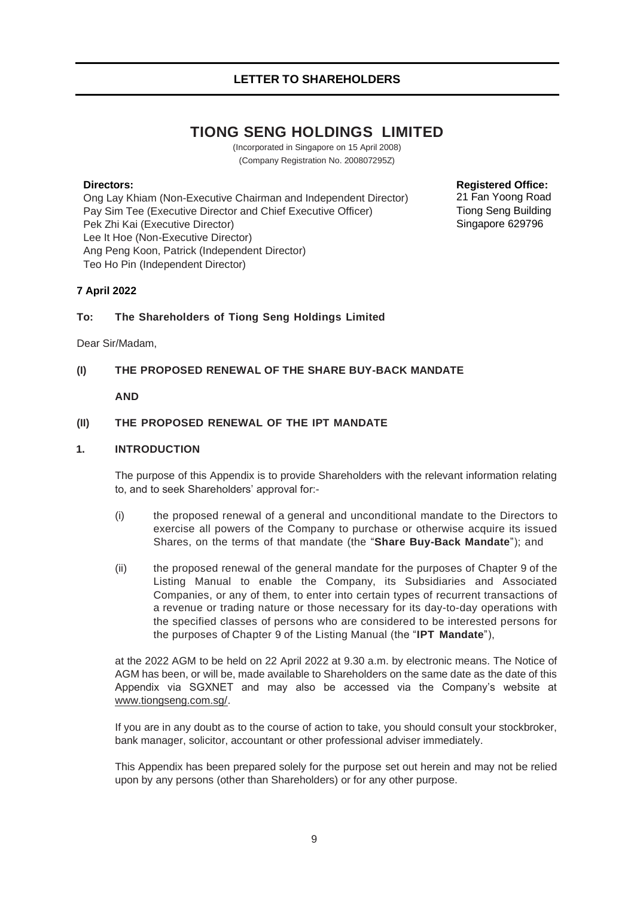# **TIONG SENG HOLDINGS LIMITED**

(Incorporated in Singapore on 15 April 2008) (Company Registration No. 200807295Z)

### <span id="page-8-0"></span>**Directors:**

Ong Lay Khiam (Non-Executive Chairman and Independent Director) Pay Sim Tee (Executive Director and Chief Executive Officer) Pek Zhi Kai (Executive Director) Lee It Hoe (Non-Executive Director) Ang Peng Koon, Patrick (Independent Director) Teo Ho Pin (Independent Director)

**Registered Office:** 21 Fan Yoong Road Tiong Seng Building Singapore 629796

## **7 April 2022**

### **To: The Shareholders of Tiong Seng Holdings Limited**

Dear Sir/Madam,

## **(I) THE PROPOSED RENEWAL OF THE SHARE BUY-BACK MANDATE**

### **AND**

### **(II) THE PROPOSED RENEWAL OF THE IPT MANDATE**

#### <span id="page-8-1"></span>**1. INTRODUCTION**

The purpose of this Appendix is to provide Shareholders with the relevant information relating to, and to seek Shareholders' approval for:-

- (i) the proposed renewal of a general and unconditional mandate to the Directors to exercise all powers of the Company to purchase or otherwise acquire its issued Shares, on the terms of that mandate (the "**Share Buy-Back Mandate**"); and
- (ii) the proposed renewal of the general mandate for the purposes of Chapter 9 of the Listing Manual to enable the Company, its Subsidiaries and Associated Companies, or any of them, to enter into certain types of recurrent transactions of a revenue or trading nature or those necessary for its day-to-day operations with the specified classes of persons who are considered to be interested persons for the purposes of Chapter 9 of the Listing Manual (the "**IPT Mandate**"),

at the 2022 AGM to be held on 22 April 2022 at 9.30 a.m. by electronic means. The Notice of AGM has been, or will be, made available to Shareholders on the same date as the date of this Appendix via SGXNET and may also be accessed via the Company's website at [www.tiongseng.com.sg/.](http://www.tiongseng.com.sg/)

If you are in any doubt as to the course of action to take, you should consult your stockbroker, bank manager, solicitor, accountant or other professional adviser immediately.

This Appendix has been prepared solely for the purpose set out herein and may not be relied upon by any persons (other than Shareholders) or for any other purpose.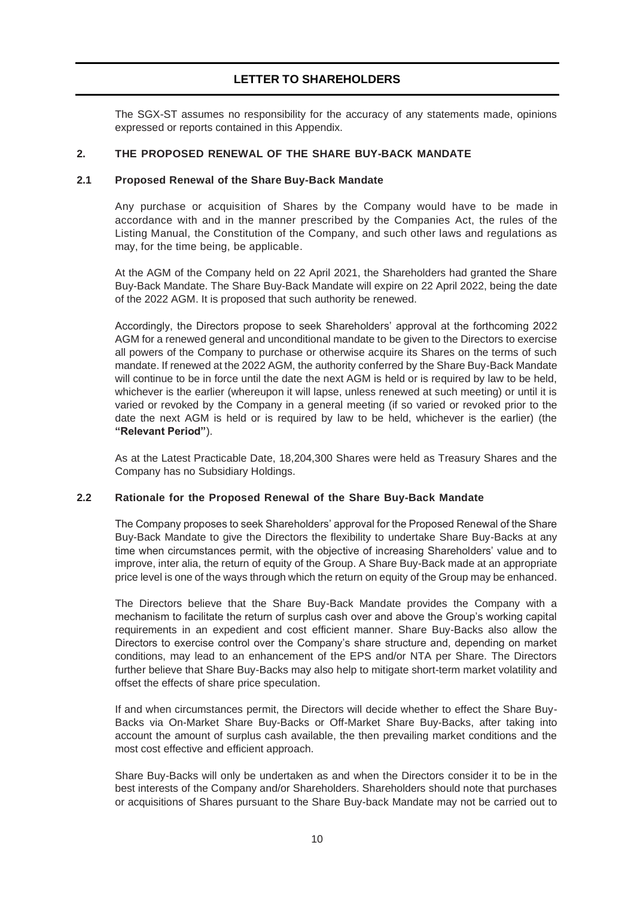The SGX-ST assumes no responsibility for the accuracy of any statements made, opinions expressed or reports contained in this Appendix.

### <span id="page-9-0"></span>**2. THE PROPOSED RENEWAL OF THE SHARE BUY-BACK MANDATE**

### **2.1 Proposed Renewal of the Share Buy-Back Mandate**

Any purchase or acquisition of Shares by the Company would have to be made in accordance with and in the manner prescribed by the Companies Act, the rules of the Listing Manual, the Constitution of the Company, and such other laws and regulations as may, for the time being, be applicable.

At the AGM of the Company held on 22 April 2021, the Shareholders had granted the Share Buy-Back Mandate. The Share Buy-Back Mandate will expire on 22 April 2022, being the date of the 2022 AGM. It is proposed that such authority be renewed.

Accordingly, the Directors propose to seek Shareholders' approval at the forthcoming 2022 AGM for a renewed general and unconditional mandate to be given to the Directors to exercise all powers of the Company to purchase or otherwise acquire its Shares on the terms of such mandate. If renewed at the 2022 AGM, the authority conferred by the Share Buy-Back Mandate will continue to be in force until the date the next AGM is held or is required by law to be held, whichever is the earlier (whereupon it will lapse, unless renewed at such meeting) or until it is varied or revoked by the Company in a general meeting (if so varied or revoked prior to the date the next AGM is held or is required by law to be held, whichever is the earlier) (the **"Relevant Period"**).

As at the Latest Practicable Date, 18,204,300 Shares were held as Treasury Shares and the Company has no Subsidiary Holdings.

### **2.2 Rationale for the Proposed Renewal of the Share Buy-Back Mandate**

The Company proposes to seek Shareholders' approval for the Proposed Renewal of the Share Buy-Back Mandate to give the Directors the flexibility to undertake Share Buy-Backs at any time when circumstances permit, with the objective of increasing Shareholders' value and to improve, inter alia, the return of equity of the Group. A Share Buy-Back made at an appropriate price level is one of the ways through which the return on equity of the Group may be enhanced.

The Directors believe that the Share Buy-Back Mandate provides the Company with a mechanism to facilitate the return of surplus cash over and above the Group's working capital requirements in an expedient and cost efficient manner. Share Buy-Backs also allow the Directors to exercise control over the Company's share structure and, depending on market conditions, may lead to an enhancement of the EPS and/or NTA per Share. The Directors further believe that Share Buy-Backs may also help to mitigate short-term market volatility and offset the effects of share price speculation.

If and when circumstances permit, the Directors will decide whether to effect the Share Buy-Backs via On-Market Share Buy-Backs or Off-Market Share Buy-Backs, after taking into account the amount of surplus cash available, the then prevailing market conditions and the most cost effective and efficient approach.

Share Buy-Backs will only be undertaken as and when the Directors consider it to be in the best interests of the Company and/or Shareholders. Shareholders should note that purchases or acquisitions of Shares pursuant to the Share Buy-back Mandate may not be carried out to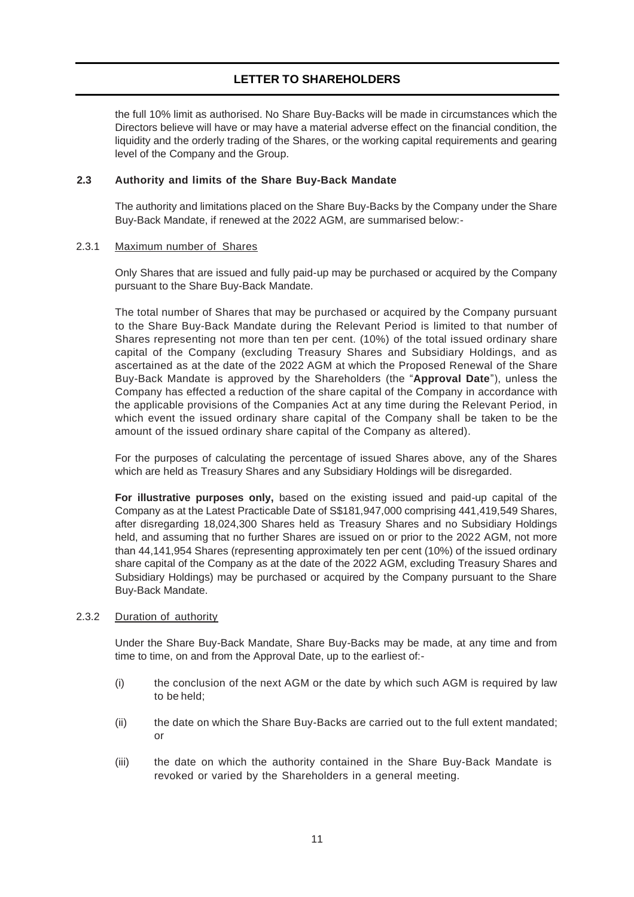the full 10% limit as authorised. No Share Buy-Backs will be made in circumstances which the Directors believe will have or may have a material adverse effect on the financial condition, the liquidity and the orderly trading of the Shares, or the working capital requirements and gearing level of the Company and the Group.

### **2.3 Authority and limits of the Share Buy-Back Mandate**

The authority and limitations placed on the Share Buy-Backs by the Company under the Share Buy-Back Mandate, if renewed at the 2022 AGM, are summarised below:-

### 2.3.1 Maximum number of Shares

Only Shares that are issued and fully paid-up may be purchased or acquired by the Company pursuant to the Share Buy-Back Mandate.

The total number of Shares that may be purchased or acquired by the Company pursuant to the Share Buy-Back Mandate during the Relevant Period is limited to that number of Shares representing not more than ten per cent. (10%) of the total issued ordinary share capital of the Company (excluding Treasury Shares and Subsidiary Holdings, and as ascertained as at the date of the 2022 AGM at which the Proposed Renewal of the Share Buy-Back Mandate is approved by the Shareholders (the "**Approval Date**"), unless the Company has effected a reduction of the share capital of the Company in accordance with the applicable provisions of the Companies Act at any time during the Relevant Period, in which event the issued ordinary share capital of the Company shall be taken to be the amount of the issued ordinary share capital of the Company as altered).

For the purposes of calculating the percentage of issued Shares above, any of the Shares which are held as Treasury Shares and any Subsidiary Holdings will be disregarded.

**For illustrative purposes only,** based on the existing issued and paid-up capital of the Company as at the Latest Practicable Date of S\$181,947,000 comprising 441,419,549 Shares, after disregarding 18,024,300 Shares held as Treasury Shares and no Subsidiary Holdings held, and assuming that no further Shares are issued on or prior to the 2022 AGM, not more than 44,141,954 Shares (representing approximately ten per cent (10%) of the issued ordinary share capital of the Company as at the date of the 2022 AGM, excluding Treasury Shares and Subsidiary Holdings) may be purchased or acquired by the Company pursuant to the Share Buy-Back Mandate.

#### 2.3.2 Duration of authority

Under the Share Buy-Back Mandate, Share Buy-Backs may be made, at any time and from time to time, on and from the Approval Date, up to the earliest of:-

- (i) the conclusion of the next AGM or the date by which such AGM is required by law to be held:
- (ii) the date on which the Share Buy-Backs are carried out to the full extent mandated; or
- (iii) the date on which the authority contained in the Share Buy-Back Mandate is revoked or varied by the Shareholders in a general meeting.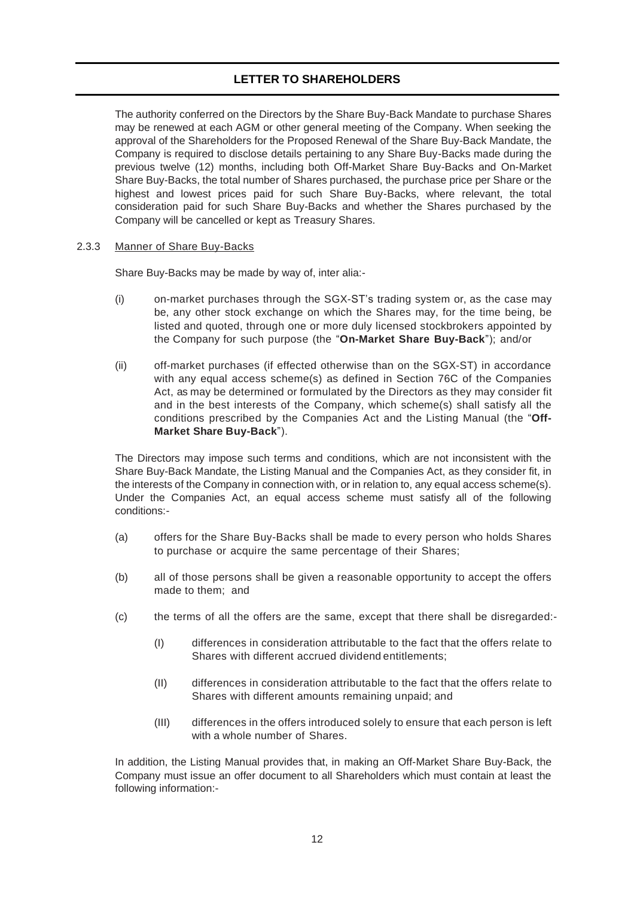The authority conferred on the Directors by the Share Buy-Back Mandate to purchase Shares may be renewed at each AGM or other general meeting of the Company. When seeking the approval of the Shareholders for the Proposed Renewal of the Share Buy-Back Mandate, the Company is required to disclose details pertaining to any Share Buy-Backs made during the previous twelve (12) months, including both Off-Market Share Buy-Backs and On-Market Share Buy-Backs, the total number of Shares purchased, the purchase price per Share or the highest and lowest prices paid for such Share Buy-Backs, where relevant, the total consideration paid for such Share Buy-Backs and whether the Shares purchased by the Company will be cancelled or kept as Treasury Shares.

### 2.3.3 Manner of Share Buy-Backs

Share Buy-Backs may be made by way of, inter alia:-

- (i) on-market purchases through the SGX-ST's trading system or, as the case may be, any other stock exchange on which the Shares may, for the time being, be listed and quoted, through one or more duly licensed stockbrokers appointed by the Company for such purpose (the "**On-Market Share Buy-Back**"); and/or
- (ii) off-market purchases (if effected otherwise than on the SGX-ST) in accordance with any equal access scheme(s) as defined in Section 76C of the Companies Act, as may be determined or formulated by the Directors as they may consider fit and in the best interests of the Company, which scheme(s) shall satisfy all the conditions prescribed by the Companies Act and the Listing Manual (the "**Off-Market Share Buy-Back**").

The Directors may impose such terms and conditions, which are not inconsistent with the Share Buy-Back Mandate, the Listing Manual and the Companies Act, as they consider fit, in the interests of the Company in connection with, or in relation to, any equal access scheme(s). Under the Companies Act, an equal access scheme must satisfy all of the following conditions:-

- (a) offers for the Share Buy-Backs shall be made to every person who holds Shares to purchase or acquire the same percentage of their Shares;
- (b) all of those persons shall be given a reasonable opportunity to accept the offers made to them; and
- (c) the terms of all the offers are the same, except that there shall be disregarded:-
	- (I) differences in consideration attributable to the fact that the offers relate to Shares with different accrued dividend entitlements;
	- (II) differences in consideration attributable to the fact that the offers relate to Shares with different amounts remaining unpaid; and
	- (III) differences in the offers introduced solely to ensure that each person is left with a whole number of Shares.

In addition, the Listing Manual provides that, in making an Off-Market Share Buy-Back, the Company must issue an offer document to all Shareholders which must contain at least the following information:-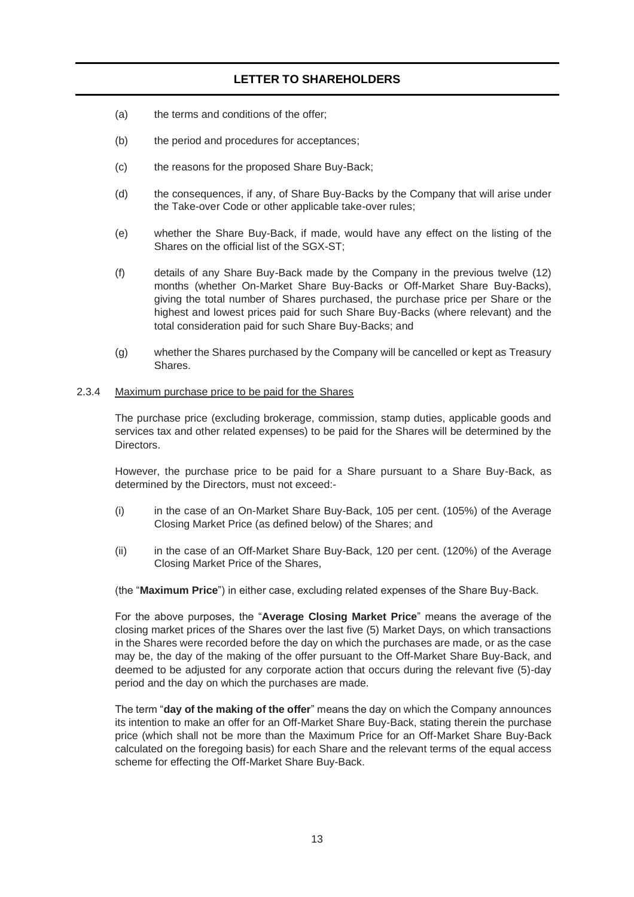- (a) the terms and conditions of the offer;
- (b) the period and procedures for acceptances;
- (c) the reasons for the proposed Share Buy-Back;
- (d) the consequences, if any, of Share Buy-Backs by the Company that will arise under the Take-over Code or other applicable take-over rules;
- (e) whether the Share Buy-Back, if made, would have any effect on the listing of the Shares on the official list of the SGX-ST;
- (f) details of any Share Buy-Back made by the Company in the previous twelve (12) months (whether On-Market Share Buy-Backs or Off-Market Share Buy-Backs), giving the total number of Shares purchased, the purchase price per Share or the highest and lowest prices paid for such Share Buy-Backs (where relevant) and the total consideration paid for such Share Buy-Backs; and
- (g) whether the Shares purchased by the Company will be cancelled or kept as Treasury Shares.

#### 2.3.4 Maximum purchase price to be paid for the Shares

The purchase price (excluding brokerage, commission, stamp duties, applicable goods and services tax and other related expenses) to be paid for the Shares will be determined by the Directors.

However, the purchase price to be paid for a Share pursuant to a Share Buy-Back, as determined by the Directors, must not exceed:-

- (i) in the case of an On-Market Share Buy-Back, 105 per cent. (105%) of the Average Closing Market Price (as defined below) of the Shares; and
- (ii) in the case of an Off-Market Share Buy-Back, 120 per cent. (120%) of the Average Closing Market Price of the Shares,

(the "**Maximum Price**") in either case, excluding related expenses of the Share Buy-Back.

For the above purposes, the "**Average Closing Market Price**" means the average of the closing market prices of the Shares over the last five (5) Market Days, on which transactions in the Shares were recorded before the day on which the purchases are made, or as the case may be, the day of the making of the offer pursuant to the Off-Market Share Buy-Back, and deemed to be adjusted for any corporate action that occurs during the relevant five (5)-day period and the day on which the purchases are made.

The term "**day of the making of the offer**" means the day on which the Company announces its intention to make an offer for an Off-Market Share Buy-Back, stating therein the purchase price (which shall not be more than the Maximum Price for an Off-Market Share Buy-Back calculated on the foregoing basis) for each Share and the relevant terms of the equal access scheme for effecting the Off-Market Share Buy-Back.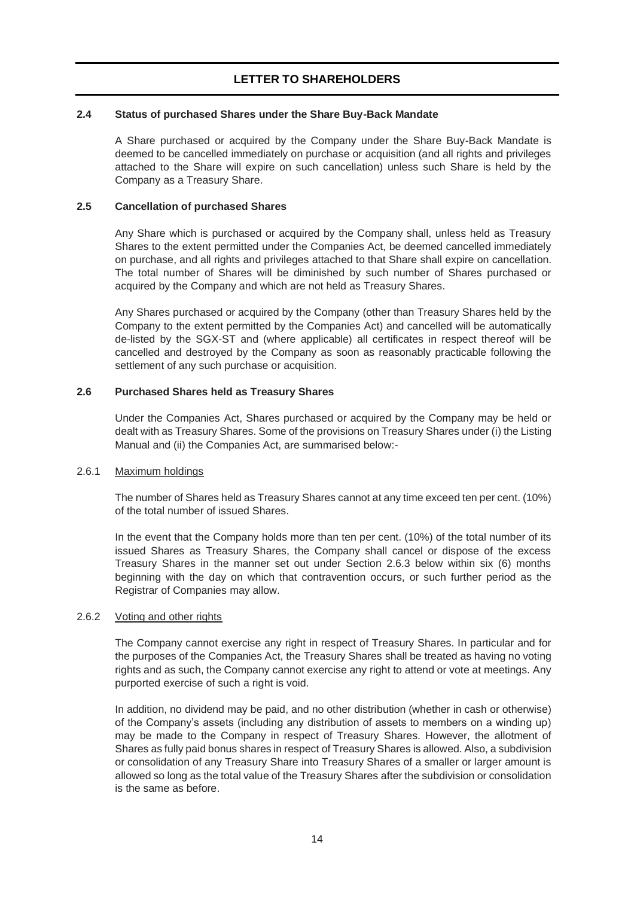### **2.4 Status of purchased Shares under the Share Buy-Back Mandate**

A Share purchased or acquired by the Company under the Share Buy-Back Mandate is deemed to be cancelled immediately on purchase or acquisition (and all rights and privileges attached to the Share will expire on such cancellation) unless such Share is held by the Company as a Treasury Share.

## **2.5 Cancellation of purchased Shares**

Any Share which is purchased or acquired by the Company shall, unless held as Treasury Shares to the extent permitted under the Companies Act, be deemed cancelled immediately on purchase, and all rights and privileges attached to that Share shall expire on cancellation. The total number of Shares will be diminished by such number of Shares purchased or acquired by the Company and which are not held as Treasury Shares.

Any Shares purchased or acquired by the Company (other than Treasury Shares held by the Company to the extent permitted by the Companies Act) and cancelled will be automatically de-listed by the SGX-ST and (where applicable) all certificates in respect thereof will be cancelled and destroyed by the Company as soon as reasonably practicable following the settlement of any such purchase or acquisition.

## **2.6 Purchased Shares held as Treasury Shares**

Under the Companies Act, Shares purchased or acquired by the Company may be held or dealt with as Treasury Shares. Some of the provisions on Treasury Shares under (i) the Listing Manual and (ii) the Companies Act, are summarised below:-

## 2.6.1 Maximum holdings

The number of Shares held as Treasury Shares cannot at any time exceed ten per cent. (10%) of the total number of issued Shares.

In the event that the Company holds more than ten per cent. (10%) of the total number of its issued Shares as Treasury Shares, the Company shall cancel or dispose of the excess Treasury Shares in the manner set out under Section 2.6.3 below within six (6) months beginning with the day on which that contravention occurs, or such further period as the Registrar of Companies may allow.

### 2.6.2 Voting and other rights

The Company cannot exercise any right in respect of Treasury Shares. In particular and for the purposes of the Companies Act, the Treasury Shares shall be treated as having no voting rights and as such, the Company cannot exercise any right to attend or vote at meetings. Any purported exercise of such a right is void.

In addition, no dividend may be paid, and no other distribution (whether in cash or otherwise) of the Company's assets (including any distribution of assets to members on a winding up) may be made to the Company in respect of Treasury Shares. However, the allotment of Shares as fully paid bonus shares in respect of Treasury Shares is allowed. Also, a subdivision or consolidation of any Treasury Share into Treasury Shares of a smaller or larger amount is allowed so long as the total value of the Treasury Shares after the subdivision or consolidation is the same as before.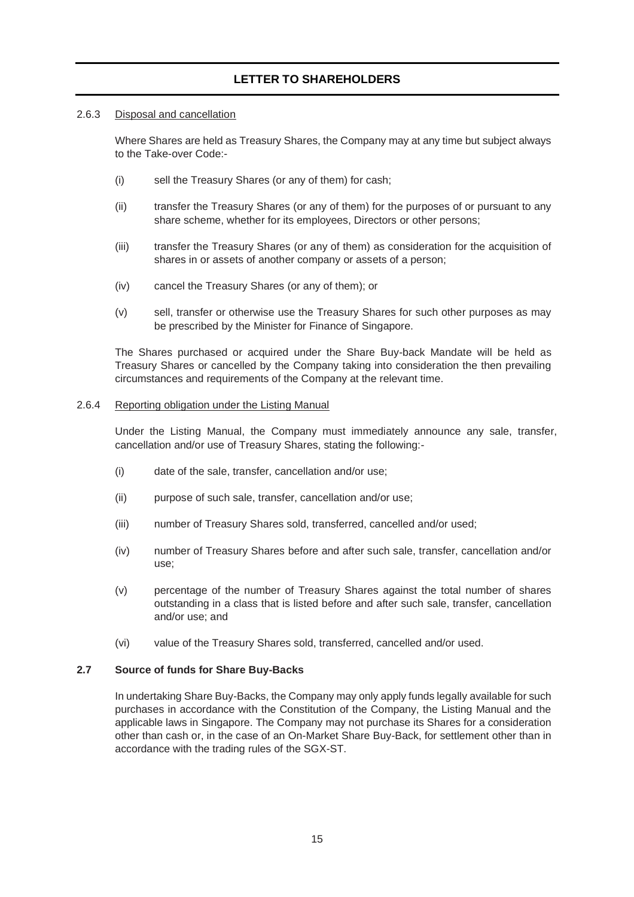#### 2.6.3 Disposal and cancellation

Where Shares are held as Treasury Shares, the Company may at any time but subject always to the Take-over Code:-

- (i) sell the Treasury Shares (or any of them) for cash;
- (ii) transfer the Treasury Shares (or any of them) for the purposes of or pursuant to any share scheme, whether for its employees, Directors or other persons;
- (iii) transfer the Treasury Shares (or any of them) as consideration for the acquisition of shares in or assets of another company or assets of a person;
- (iv) cancel the Treasury Shares (or any of them); or
- (v) sell, transfer or otherwise use the Treasury Shares for such other purposes as may be prescribed by the Minister for Finance of Singapore.

The Shares purchased or acquired under the Share Buy-back Mandate will be held as Treasury Shares or cancelled by the Company taking into consideration the then prevailing circumstances and requirements of the Company at the relevant time.

#### 2.6.4 Reporting obligation under the Listing Manual

Under the Listing Manual, the Company must immediately announce any sale, transfer, cancellation and/or use of Treasury Shares, stating the following:-

- (i) date of the sale, transfer, cancellation and/or use;
- (ii) purpose of such sale, transfer, cancellation and/or use;
- (iii) number of Treasury Shares sold, transferred, cancelled and/or used;
- (iv) number of Treasury Shares before and after such sale, transfer, cancellation and/or use;
- (v) percentage of the number of Treasury Shares against the total number of shares outstanding in a class that is listed before and after such sale, transfer, cancellation and/or use; and
- (vi) value of the Treasury Shares sold, transferred, cancelled and/or used.

### **2.7 Source of funds for Share Buy-Backs**

In undertaking Share Buy-Backs, the Company may only apply funds legally available for such purchases in accordance with the Constitution of the Company, the Listing Manual and the applicable laws in Singapore. The Company may not purchase its Shares for a consideration other than cash or, in the case of an On-Market Share Buy-Back, for settlement other than in accordance with the trading rules of the SGX-ST.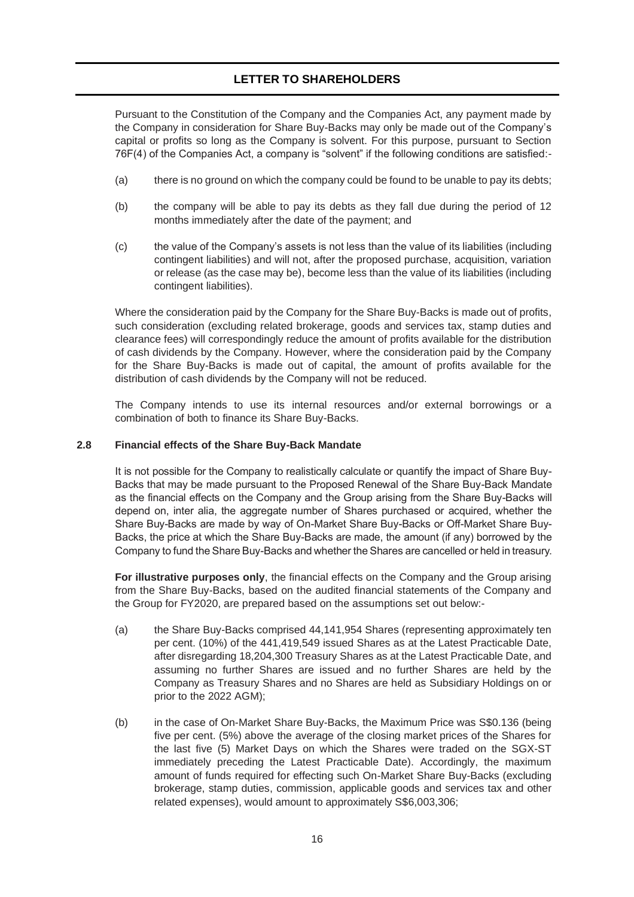Pursuant to the Constitution of the Company and the Companies Act, any payment made by the Company in consideration for Share Buy-Backs may only be made out of the Company's capital or profits so long as the Company is solvent. For this purpose, pursuant to Section 76F(4) of the Companies Act, a company is "solvent" if the following conditions are satisfied:-

- (a) there is no ground on which the company could be found to be unable to pay its debts;
- (b) the company will be able to pay its debts as they fall due during the period of 12 months immediately after the date of the payment; and
- (c) the value of the Company's assets is not less than the value of its liabilities (including contingent liabilities) and will not, after the proposed purchase, acquisition, variation or release (as the case may be), become less than the value of its liabilities (including contingent liabilities).

Where the consideration paid by the Company for the Share Buy-Backs is made out of profits, such consideration (excluding related brokerage, goods and services tax, stamp duties and clearance fees) will correspondingly reduce the amount of profits available for the distribution of cash dividends by the Company. However, where the consideration paid by the Company for the Share Buy-Backs is made out of capital, the amount of profits available for the distribution of cash dividends by the Company will not be reduced.

The Company intends to use its internal resources and/or external borrowings or a combination of both to finance its Share Buy-Backs.

#### **2.8 Financial effects of the Share Buy-Back Mandate**

It is not possible for the Company to realistically calculate or quantify the impact of Share Buy-Backs that may be made pursuant to the Proposed Renewal of the Share Buy-Back Mandate as the financial effects on the Company and the Group arising from the Share Buy-Backs will depend on, inter alia, the aggregate number of Shares purchased or acquired, whether the Share Buy-Backs are made by way of On-Market Share Buy-Backs or Off-Market Share Buy-Backs, the price at which the Share Buy-Backs are made, the amount (if any) borrowed by the Company to fund the Share Buy-Backs and whether the Shares are cancelled or held in treasury.

**For illustrative purposes only**, the financial effects on the Company and the Group arising from the Share Buy-Backs, based on the audited financial statements of the Company and the Group for FY2020, are prepared based on the assumptions set out below:-

- (a) the Share Buy-Backs comprised 44,141,954 Shares (representing approximately ten per cent. (10%) of the 441,419,549 issued Shares as at the Latest Practicable Date, after disregarding 18,204,300 Treasury Shares as at the Latest Practicable Date, and assuming no further Shares are issued and no further Shares are held by the Company as Treasury Shares and no Shares are held as Subsidiary Holdings on or prior to the 2022 AGM);
- (b) in the case of On-Market Share Buy-Backs, the Maximum Price was S\$0.136 (being five per cent. (5%) above the average of the closing market prices of the Shares for the last five (5) Market Days on which the Shares were traded on the SGX-ST immediately preceding the Latest Practicable Date). Accordingly, the maximum amount of funds required for effecting such On-Market Share Buy-Backs (excluding brokerage, stamp duties, commission, applicable goods and services tax and other related expenses), would amount to approximately S\$6,003,306;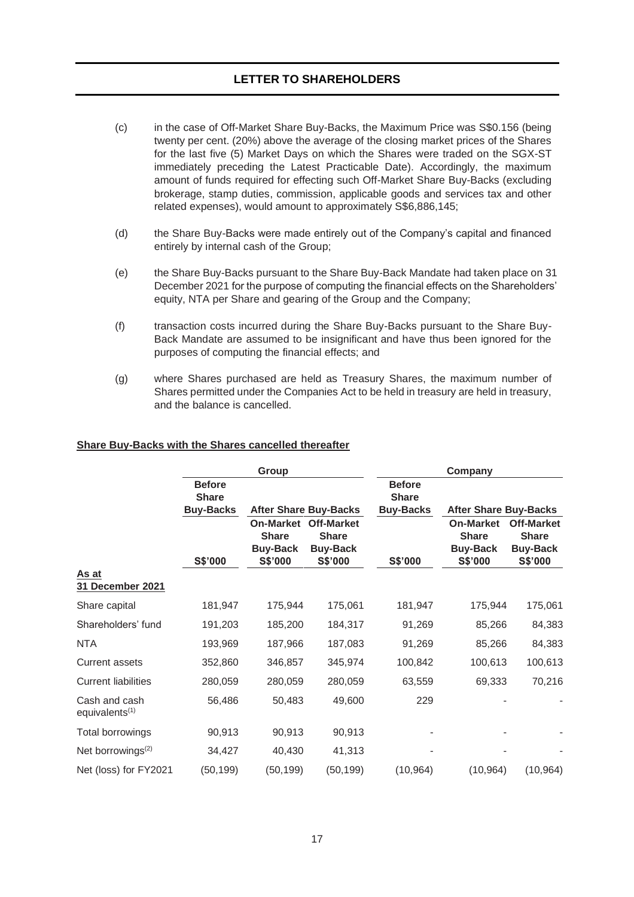- (c) in the case of Off-Market Share Buy-Backs, the Maximum Price was S\$0.156 (being twenty per cent. (20%) above the average of the closing market prices of the Shares for the last five (5) Market Days on which the Shares were traded on the SGX-ST immediately preceding the Latest Practicable Date). Accordingly, the maximum amount of funds required for effecting such Off-Market Share Buy-Backs (excluding brokerage, stamp duties, commission, applicable goods and services tax and other related expenses), would amount to approximately S\$6,886,145;
- (d) the Share Buy-Backs were made entirely out of the Company's capital and financed entirely by internal cash of the Group;
- (e) the Share Buy-Backs pursuant to the Share Buy-Back Mandate had taken place on 31 December 2021 for the purpose of computing the financial effects on the Shareholders' equity, NTA per Share and gearing of the Group and the Company;
- (f) transaction costs incurred during the Share Buy-Backs pursuant to the Share Buy-Back Mandate are assumed to be insignificant and have thus been ignored for the purposes of computing the financial effects; and
- (g) where Shares purchased are held as Treasury Shares, the maximum number of Shares permitted under the Companies Act to be held in treasury are held in treasury, and the balance is cancelled.

#### **Share Buy-Backs with the Shares cancelled thereafter**

|                                             |                                                   | Group                                                          |                                                                 | Company                                           |                                                                |                                                                        |  |
|---------------------------------------------|---------------------------------------------------|----------------------------------------------------------------|-----------------------------------------------------------------|---------------------------------------------------|----------------------------------------------------------------|------------------------------------------------------------------------|--|
|                                             | <b>Before</b><br><b>Share</b><br><b>Buy-Backs</b> |                                                                | <b>After Share Buy-Backs</b>                                    | <b>Before</b><br><b>Share</b><br><b>Buy-Backs</b> | <b>After Share Buy-Backs</b>                                   |                                                                        |  |
|                                             | S\$'000                                           | <b>On-Market</b><br><b>Share</b><br><b>Buy-Back</b><br>S\$'000 | <b>Off-Market</b><br><b>Share</b><br><b>Buy-Back</b><br>S\$'000 | S\$'000                                           | <b>On-Market</b><br><b>Share</b><br><b>Buy-Back</b><br>S\$'000 | <b>Off-Market</b><br><b>Share</b><br><b>Buy-Back</b><br><b>S\$'000</b> |  |
| As at<br>31 December 2021                   |                                                   |                                                                |                                                                 |                                                   |                                                                |                                                                        |  |
| Share capital                               | 181,947                                           | 175,944                                                        | 175,061                                                         | 181,947                                           | 175,944                                                        | 175,061                                                                |  |
| Shareholders' fund                          | 191,203                                           | 185,200                                                        | 184,317                                                         | 91,269                                            | 85,266                                                         | 84,383                                                                 |  |
| <b>NTA</b>                                  | 193,969                                           | 187,966                                                        | 187,083                                                         | 91,269                                            | 85,266                                                         | 84,383                                                                 |  |
| <b>Current assets</b>                       | 352,860                                           | 346,857                                                        | 345,974                                                         | 100,842                                           | 100,613                                                        | 100,613                                                                |  |
| <b>Current liabilities</b>                  | 280,059                                           | 280,059                                                        | 280,059                                                         | 63,559                                            | 69,333                                                         | 70,216                                                                 |  |
| Cash and cash<br>equivalents <sup>(1)</sup> | 56,486                                            | 50,483                                                         | 49,600                                                          | 229                                               |                                                                |                                                                        |  |
| Total borrowings                            | 90,913                                            | 90,913                                                         | 90,913                                                          |                                                   |                                                                |                                                                        |  |
| Net borrowings <sup>(2)</sup>               | 34,427                                            | 40,430                                                         | 41,313                                                          |                                                   |                                                                |                                                                        |  |
| Net (loss) for FY2021                       | (50, 199)                                         | (50, 199)                                                      | (50, 199)                                                       | (10, 964)                                         | (10, 964)                                                      | (10, 964)                                                              |  |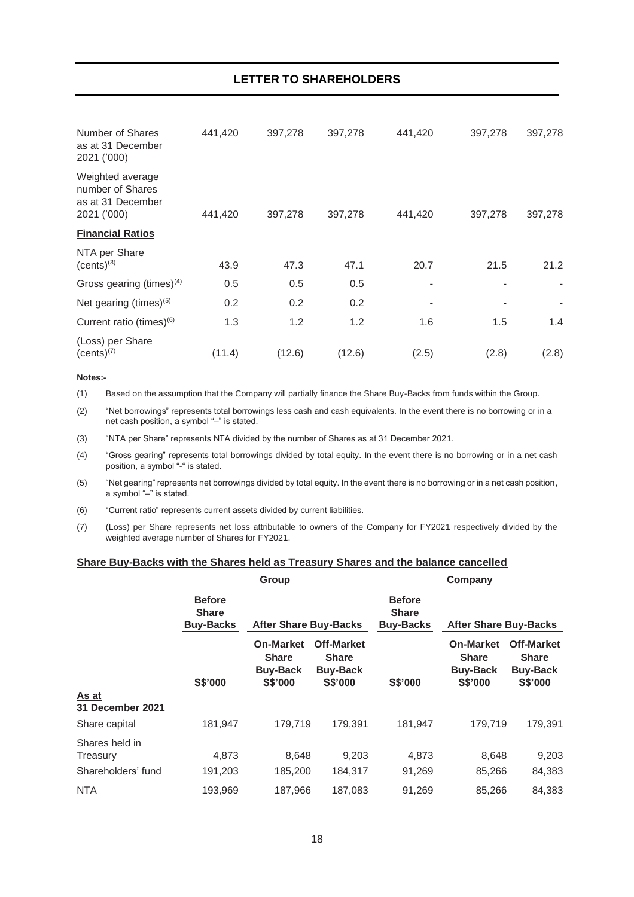| Number of Shares<br>as at 31 December<br>2021 ('000)                     | 441,420 | 397,278 | 397,278 | 441,420 | 397,278 | 397,278 |
|--------------------------------------------------------------------------|---------|---------|---------|---------|---------|---------|
| Weighted average<br>number of Shares<br>as at 31 December<br>2021 ('000) | 441,420 | 397,278 | 397,278 | 441,420 | 397,278 | 397,278 |
| <b>Financial Ratios</b>                                                  |         |         |         |         |         |         |
| NTA per Share<br>$(cents)^{(3)}$                                         | 43.9    | 47.3    | 47.1    | 20.7    | 21.5    | 21.2    |
| Gross gearing (times) <sup>(4)</sup>                                     | 0.5     | 0.5     | 0.5     |         |         |         |
| Net gearing (times) $(5)$                                                | 0.2     | 0.2     | 0.2     |         |         |         |
| Current ratio (times) <sup>(6)</sup>                                     | 1.3     | 1.2     | 1.2     | 1.6     | 1.5     | 1.4     |
| (Loss) per Share<br>$(cents)^{(7)}$                                      | (11.4)  | (12.6)  | (12.6)  | (2.5)   | (2.8)   | (2.8)   |

#### **Notes:-**

(1) Based on the assumption that the Company will partially finance the Share Buy-Backs from funds within the Group.

(2) "Net borrowings" represents total borrowings less cash and cash equivalents. In the event there is no borrowing or in a net cash position, a symbol "–" is stated.

(3) "NTA per Share" represents NTA divided by the number of Shares as at 31 December 2021.

(4) "Gross gearing" represents total borrowings divided by total equity. In the event there is no borrowing or in a net cash position, a symbol "-" is stated.

(5) "Net gearing" represents net borrowings divided by total equity. In the event there is no borrowing or in a net cash position, a symbol "–" is stated.

(6) "Current ratio" represents current assets divided by current liabilities.

(7) (Loss) per Share represents net loss attributable to owners of the Company for FY2021 respectively divided by the weighted average number of Shares for FY2021.

#### **Share Buy-Backs with the Shares held as Treasury Shares and the balance cancelled**

|                            |                                                   | Group                                                                 |                                                                        | Company                                           |                                                                       |                                                                 |  |
|----------------------------|---------------------------------------------------|-----------------------------------------------------------------------|------------------------------------------------------------------------|---------------------------------------------------|-----------------------------------------------------------------------|-----------------------------------------------------------------|--|
|                            | <b>Before</b><br><b>Share</b><br><b>Buy-Backs</b> | <b>After Share Buy-Backs</b>                                          |                                                                        | <b>Before</b><br><b>Share</b><br><b>Buy-Backs</b> | <b>After Share Buy-Backs</b>                                          |                                                                 |  |
|                            | S\$'000                                           | <b>On-Market</b><br><b>Share</b><br><b>Buy-Back</b><br><b>S\$'000</b> | <b>Off-Market</b><br><b>Share</b><br><b>Buy-Back</b><br><b>S\$'000</b> | S\$'000                                           | <b>On-Market</b><br><b>Share</b><br><b>Buy-Back</b><br><b>S\$'000</b> | <b>Off-Market</b><br><b>Share</b><br><b>Buy-Back</b><br>S\$'000 |  |
| As at<br>31 December 2021  |                                                   |                                                                       |                                                                        |                                                   |                                                                       |                                                                 |  |
| Share capital              | 181,947                                           | 179,719                                                               | 179,391                                                                | 181,947                                           | 179,719                                                               | 179,391                                                         |  |
| Shares held in<br>Treasury | 4,873                                             | 8,648                                                                 | 9,203                                                                  | 4,873                                             | 8,648                                                                 | 9,203                                                           |  |
| Shareholders' fund         | 191,203                                           | 185,200                                                               | 184,317                                                                | 91,269                                            | 85,266                                                                | 84,383                                                          |  |
| <b>NTA</b>                 | 193,969                                           | 187,966                                                               | 187,083                                                                | 91,269                                            | 85,266                                                                | 84,383                                                          |  |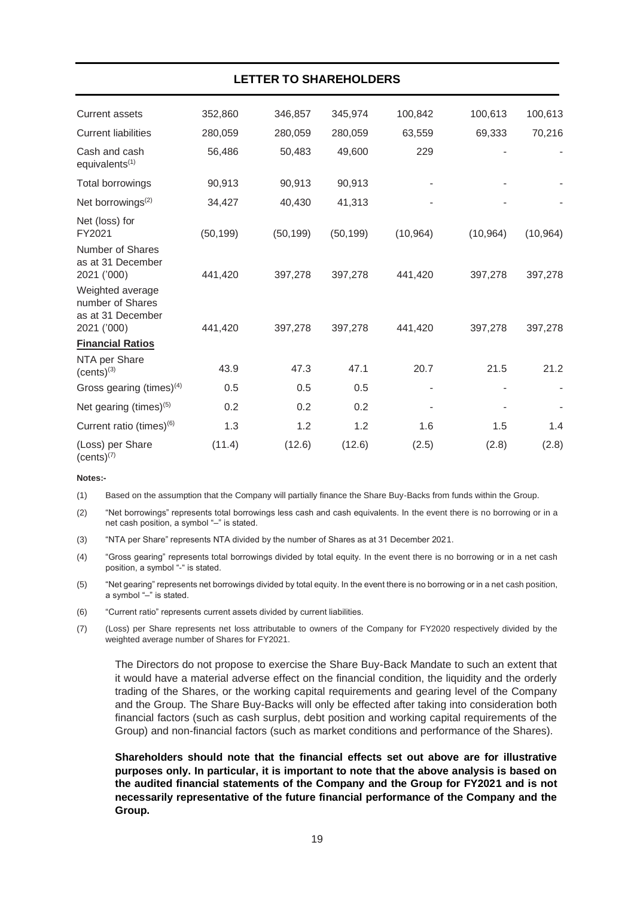|                                                                          |           | LETTER TO SHAREHOLDERS |           |           |           |           |
|--------------------------------------------------------------------------|-----------|------------------------|-----------|-----------|-----------|-----------|
| <b>Current assets</b>                                                    | 352,860   | 346,857                | 345,974   | 100,842   | 100,613   | 100,613   |
| <b>Current liabilities</b>                                               | 280,059   | 280,059                | 280,059   | 63,559    | 69,333    | 70,216    |
| Cash and cash<br>equivalents <sup>(1)</sup>                              | 56,486    | 50,483                 | 49,600    | 229       |           |           |
| <b>Total borrowings</b>                                                  | 90,913    | 90,913                 | 90,913    |           |           |           |
| Net borrowings <sup>(2)</sup>                                            | 34,427    | 40,430                 | 41,313    |           |           |           |
| Net (loss) for<br>FY2021                                                 | (50, 199) | (50, 199)              | (50, 199) | (10, 964) | (10, 964) | (10, 964) |
| Number of Shares<br>as at 31 December<br>2021 ('000)                     | 441,420   | 397,278                | 397,278   | 441,420   | 397,278   | 397,278   |
| Weighted average<br>number of Shares<br>as at 31 December<br>2021 ('000) | 441,420   | 397,278                | 397,278   | 441,420   | 397,278   | 397,278   |
| <b>Financial Ratios</b>                                                  |           |                        |           |           |           |           |
| NTA per Share<br>$(cents)^{(3)}$                                         | 43.9      | 47.3                   | 47.1      | 20.7      | 21.5      | 21.2      |
| Gross gearing (times) $(4)$                                              | 0.5       | 0.5                    | 0.5       |           |           |           |
| Net gearing (times) $(5)$                                                | 0.2       | 0.2                    | 0.2       |           |           |           |
| Current ratio (times) <sup>(6)</sup>                                     | 1.3       | 1.2                    | 1.2       | 1.6       | 1.5       | 1.4       |
| (Loss) per Share<br>$(cents)^{(7)}$                                      | (11.4)    | (12.6)                 | (12.6)    | (2.5)     | (2.8)     | (2.8)     |

#### **Notes:-**

(1) Based on the assumption that the Company will partially finance the Share Buy-Backs from funds within the Group.

(2) "Net borrowings" represents total borrowings less cash and cash equivalents. In the event there is no borrowing or in a net cash position, a symbol "–" is stated.

(3) "NTA per Share" represents NTA divided by the number of Shares as at 31 December 2021.

(4) "Gross gearing" represents total borrowings divided by total equity. In the event there is no borrowing or in a net cash position, a symbol "-" is stated.

(5) "Net gearing" represents net borrowings divided by total equity. In the event there is no borrowing or in a net cash position, a symbol "–" is stated.

(6) "Current ratio" represents current assets divided by current liabilities.

(7) (Loss) per Share represents net loss attributable to owners of the Company for FY2020 respectively divided by the weighted average number of Shares for FY2021.

The Directors do not propose to exercise the Share Buy-Back Mandate to such an extent that it would have a material adverse effect on the financial condition, the liquidity and the orderly trading of the Shares, or the working capital requirements and gearing level of the Company and the Group. The Share Buy-Backs will only be effected after taking into consideration both financial factors (such as cash surplus, debt position and working capital requirements of the Group) and non-financial factors (such as market conditions and performance of the Shares).

**Shareholders should note that the financial effects set out above are for illustrative purposes only. In particular, it is important to note that the above analysis is based on the audited financial statements of the Company and the Group for FY2021 and is not necessarily representative of the future financial performance of the Company and the Group.**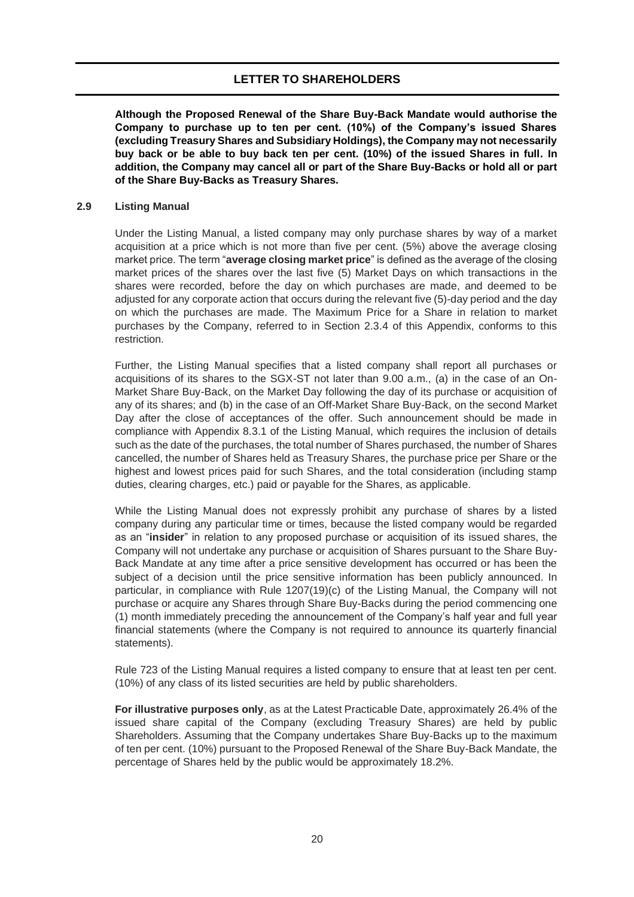**Although the Proposed Renewal of the Share Buy-Back Mandate would authorise the Company to purchase up to ten per cent. (10%) of the Company's issued Shares (excluding Treasury Shares and Subsidiary Holdings), the Company may not necessarily buy back or be able to buy back ten per cent. (10%) of the issued Shares in full. In addition, the Company may cancel all or part of the Share Buy-Backs or hold all or part of the Share Buy-Backs as Treasury Shares.**

#### **2.9 Listing Manual**

Under the Listing Manual, a listed company may only purchase shares by way of a market acquisition at a price which is not more than five per cent. (5%) above the average closing market price. The term "**average closing market price**" is defined as the average of the closing market prices of the shares over the last five (5) Market Days on which transactions in the shares were recorded, before the day on which purchases are made, and deemed to be adjusted for any corporate action that occurs during the relevant five (5)-day period and the day on which the purchases are made. The Maximum Price for a Share in relation to market purchases by the Company, referred to in Section 2.3.4 of this Appendix, conforms to this restriction.

Further, the Listing Manual specifies that a listed company shall report all purchases or acquisitions of its shares to the SGX-ST not later than 9.00 a.m., (a) in the case of an On-Market Share Buy-Back, on the Market Day following the day of its purchase or acquisition of any of its shares; and (b) in the case of an Off-Market Share Buy-Back, on the second Market Day after the close of acceptances of the offer. Such announcement should be made in compliance with Appendix 8.3.1 of the Listing Manual, which requires the inclusion of details such as the date of the purchases, the total number of Shares purchased, the number of Shares cancelled, the number of Shares held as Treasury Shares, the purchase price per Share or the highest and lowest prices paid for such Shares, and the total consideration (including stamp duties, clearing charges, etc.) paid or payable for the Shares, as applicable.

While the Listing Manual does not expressly prohibit any purchase of shares by a listed company during any particular time or times, because the listed company would be regarded as an "**insider**" in relation to any proposed purchase or acquisition of its issued shares, the Company will not undertake any purchase or acquisition of Shares pursuant to the Share Buy-Back Mandate at any time after a price sensitive development has occurred or has been the subject of a decision until the price sensitive information has been publicly announced. In particular, in compliance with Rule 1207(19)(c) of the Listing Manual, the Company will not purchase or acquire any Shares through Share Buy-Backs during the period commencing one (1) month immediately preceding the announcement of the Company's half year and full year financial statements (where the Company is not required to announce its quarterly financial statements).

Rule 723 of the Listing Manual requires a listed company to ensure that at least ten per cent. (10%) of any class of its listed securities are held by public shareholders.

**For illustrative purposes only**, as at the Latest Practicable Date, approximately 26.4% of the issued share capital of the Company (excluding Treasury Shares) are held by public Shareholders. Assuming that the Company undertakes Share Buy-Backs up to the maximum of ten per cent. (10%) pursuant to the Proposed Renewal of the Share Buy-Back Mandate, the percentage of Shares held by the public would be approximately 18.2%.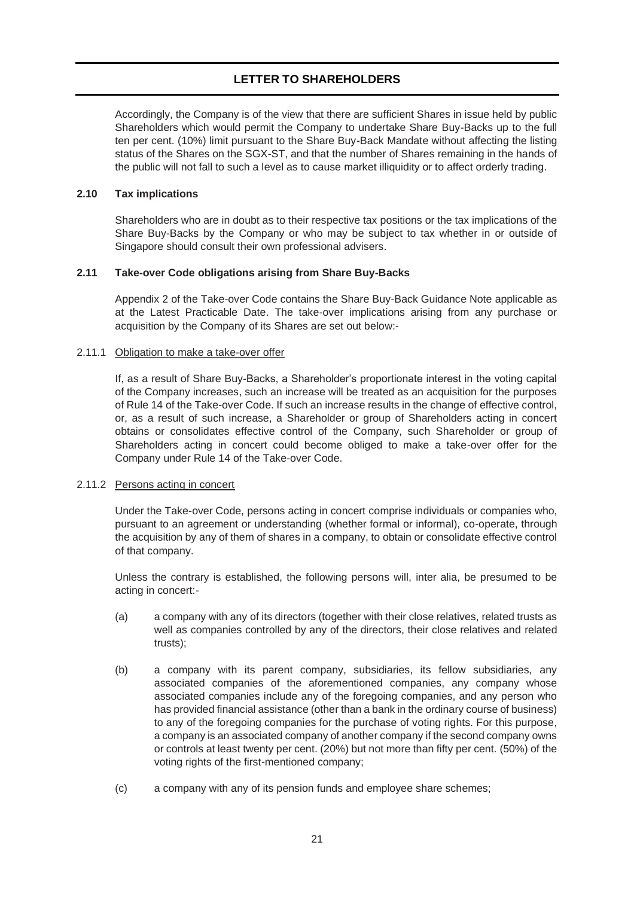Accordingly, the Company is of the view that there are sufficient Shares in issue held by public Shareholders which would permit the Company to undertake Share Buy-Backs up to the full ten per cent. (10%) limit pursuant to the Share Buy-Back Mandate without affecting the listing status of the Shares on the SGX-ST, and that the number of Shares remaining in the hands of the public will not fall to such a level as to cause market illiquidity or to affect orderly trading.

### **2.10 Tax implications**

Shareholders who are in doubt as to their respective tax positions or the tax implications of the Share Buy-Backs by the Company or who may be subject to tax whether in or outside of Singapore should consult their own professional advisers.

### **2.11 Take-over Code obligations arising from Share Buy-Backs**

Appendix 2 of the Take-over Code contains the Share Buy-Back Guidance Note applicable as at the Latest Practicable Date. The take-over implications arising from any purchase or acquisition by the Company of its Shares are set out below:-

### 2.11.1 Obligation to make a take-over offer

If, as a result of Share Buy-Backs, a Shareholder's proportionate interest in the voting capital of the Company increases, such an increase will be treated as an acquisition for the purposes of Rule 14 of the Take-over Code. If such an increase results in the change of effective control, or, as a result of such increase, a Shareholder or group of Shareholders acting in concert obtains or consolidates effective control of the Company, such Shareholder or group of Shareholders acting in concert could become obliged to make a take-over offer for the Company under Rule 14 of the Take-over Code.

### 2.11.2 Persons acting in concert

Under the Take-over Code, persons acting in concert comprise individuals or companies who, pursuant to an agreement or understanding (whether formal or informal), co-operate, through the acquisition by any of them of shares in a company, to obtain or consolidate effective control of that company.

Unless the contrary is established, the following persons will, inter alia, be presumed to be acting in concert:-

- (a) a company with any of its directors (together with their close relatives, related trusts as well as companies controlled by any of the directors, their close relatives and related trusts);
- (b) a company with its parent company, subsidiaries, its fellow subsidiaries, any associated companies of the aforementioned companies, any company whose associated companies include any of the foregoing companies, and any person who has provided financial assistance (other than a bank in the ordinary course of business) to any of the foregoing companies for the purchase of voting rights. For this purpose, a company is an associated company of another company if the second company owns or controls at least twenty per cent. (20%) but not more than fifty per cent. (50%) of the voting rights of the first-mentioned company;
- (c) a company with any of its pension funds and employee share schemes;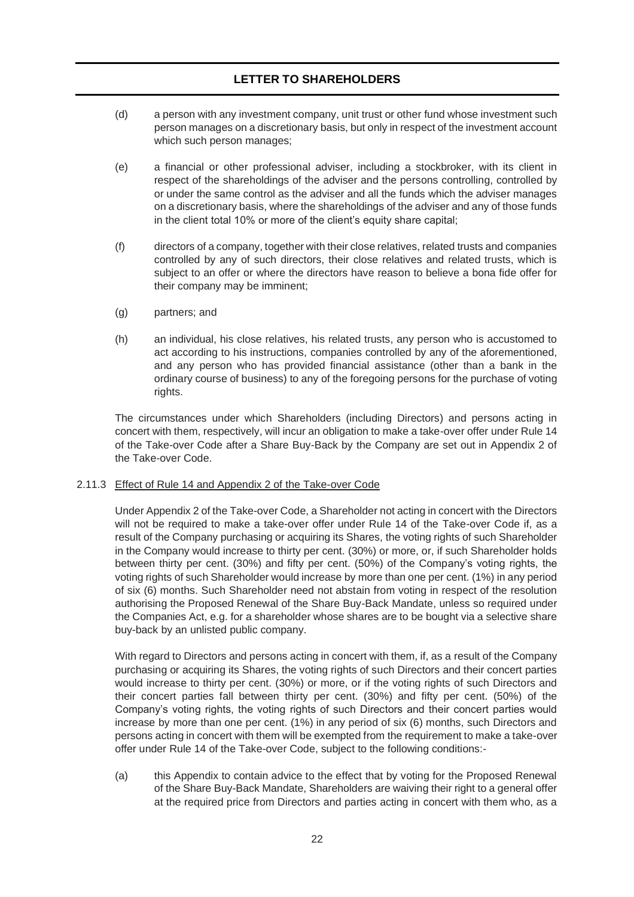- (d) a person with any investment company, unit trust or other fund whose investment such person manages on a discretionary basis, but only in respect of the investment account which such person manages;
- (e) a financial or other professional adviser, including a stockbroker, with its client in respect of the shareholdings of the adviser and the persons controlling, controlled by or under the same control as the adviser and all the funds which the adviser manages on a discretionary basis, where the shareholdings of the adviser and any of those funds in the client total 10% or more of the client's equity share capital;
- (f) directors of a company, together with their close relatives, related trusts and companies controlled by any of such directors, their close relatives and related trusts, which is subject to an offer or where the directors have reason to believe a bona fide offer for their company may be imminent;
- (g) partners; and
- (h) an individual, his close relatives, his related trusts, any person who is accustomed to act according to his instructions, companies controlled by any of the aforementioned, and any person who has provided financial assistance (other than a bank in the ordinary course of business) to any of the foregoing persons for the purchase of voting rights.

The circumstances under which Shareholders (including Directors) and persons acting in concert with them, respectively, will incur an obligation to make a take-over offer under Rule 14 of the Take-over Code after a Share Buy-Back by the Company are set out in Appendix 2 of the Take-over Code.

### 2.11.3 Effect of Rule 14 and Appendix 2 of the Take-over Code

Under Appendix 2 of the Take-over Code, a Shareholder not acting in concert with the Directors will not be required to make a take-over offer under Rule 14 of the Take-over Code if, as a result of the Company purchasing or acquiring its Shares, the voting rights of such Shareholder in the Company would increase to thirty per cent. (30%) or more, or, if such Shareholder holds between thirty per cent. (30%) and fifty per cent. (50%) of the Company's voting rights, the voting rights of such Shareholder would increase by more than one per cent. (1%) in any period of six (6) months. Such Shareholder need not abstain from voting in respect of the resolution authorising the Proposed Renewal of the Share Buy-Back Mandate, unless so required under the Companies Act, e.g. for a shareholder whose shares are to be bought via a selective share buy-back by an unlisted public company.

With regard to Directors and persons acting in concert with them, if, as a result of the Company purchasing or acquiring its Shares, the voting rights of such Directors and their concert parties would increase to thirty per cent. (30%) or more, or if the voting rights of such Directors and their concert parties fall between thirty per cent. (30%) and fifty per cent. (50%) of the Company's voting rights, the voting rights of such Directors and their concert parties would increase by more than one per cent. (1%) in any period of six (6) months, such Directors and persons acting in concert with them will be exempted from the requirement to make a take-over offer under Rule 14 of the Take-over Code, subject to the following conditions:-

(a) this Appendix to contain advice to the effect that by voting for the Proposed Renewal of the Share Buy-Back Mandate, Shareholders are waiving their right to a general offer at the required price from Directors and parties acting in concert with them who, as a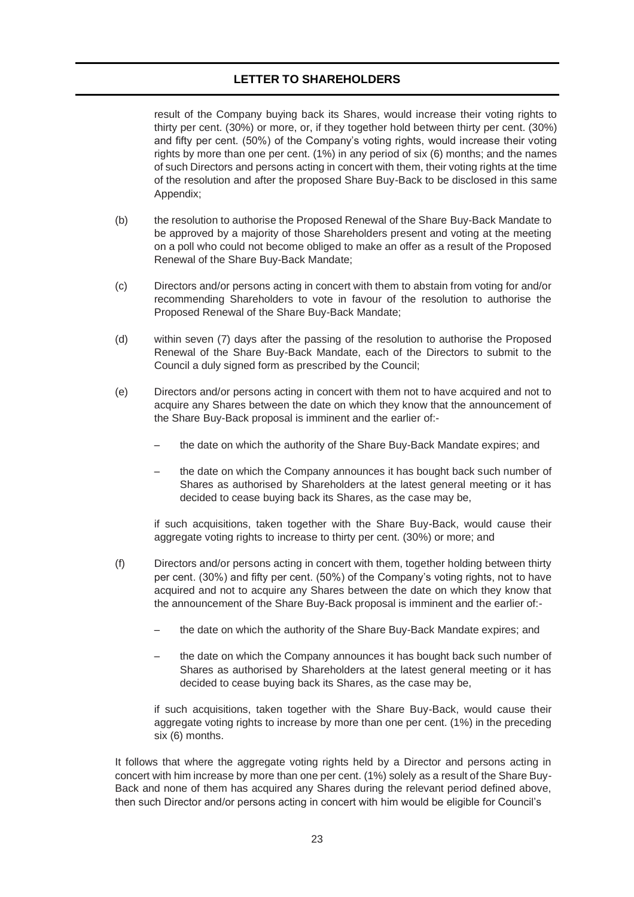result of the Company buying back its Shares, would increase their voting rights to thirty per cent. (30%) or more, or, if they together hold between thirty per cent. (30%) and fifty per cent. (50%) of the Company's voting rights, would increase their voting rights by more than one per cent. (1%) in any period of six (6) months; and the names of such Directors and persons acting in concert with them, their voting rights at the time of the resolution and after the proposed Share Buy-Back to be disclosed in this same Appendix;

- (b) the resolution to authorise the Proposed Renewal of the Share Buy-Back Mandate to be approved by a majority of those Shareholders present and voting at the meeting on a poll who could not become obliged to make an offer as a result of the Proposed Renewal of the Share Buy-Back Mandate;
- (c) Directors and/or persons acting in concert with them to abstain from voting for and/or recommending Shareholders to vote in favour of the resolution to authorise the Proposed Renewal of the Share Buy-Back Mandate;
- (d) within seven (7) days after the passing of the resolution to authorise the Proposed Renewal of the Share Buy-Back Mandate, each of the Directors to submit to the Council a duly signed form as prescribed by the Council;
- (e) Directors and/or persons acting in concert with them not to have acquired and not to acquire any Shares between the date on which they know that the announcement of the Share Buy-Back proposal is imminent and the earlier of:-
	- the date on which the authority of the Share Buy-Back Mandate expires; and
	- the date on which the Company announces it has bought back such number of Shares as authorised by Shareholders at the latest general meeting or it has decided to cease buying back its Shares, as the case may be,

if such acquisitions, taken together with the Share Buy-Back, would cause their aggregate voting rights to increase to thirty per cent. (30%) or more; and

- (f) Directors and/or persons acting in concert with them, together holding between thirty per cent. (30%) and fifty per cent. (50%) of the Company's voting rights, not to have acquired and not to acquire any Shares between the date on which they know that the announcement of the Share Buy-Back proposal is imminent and the earlier of:
	- the date on which the authority of the Share Buy-Back Mandate expires; and
	- the date on which the Company announces it has bought back such number of Shares as authorised by Shareholders at the latest general meeting or it has decided to cease buying back its Shares, as the case may be,

if such acquisitions, taken together with the Share Buy-Back, would cause their aggregate voting rights to increase by more than one per cent. (1%) in the preceding six (6) months.

It follows that where the aggregate voting rights held by a Director and persons acting in concert with him increase by more than one per cent. (1%) solely as a result of the Share Buy-Back and none of them has acquired any Shares during the relevant period defined above, then such Director and/or persons acting in concert with him would be eligible for Council's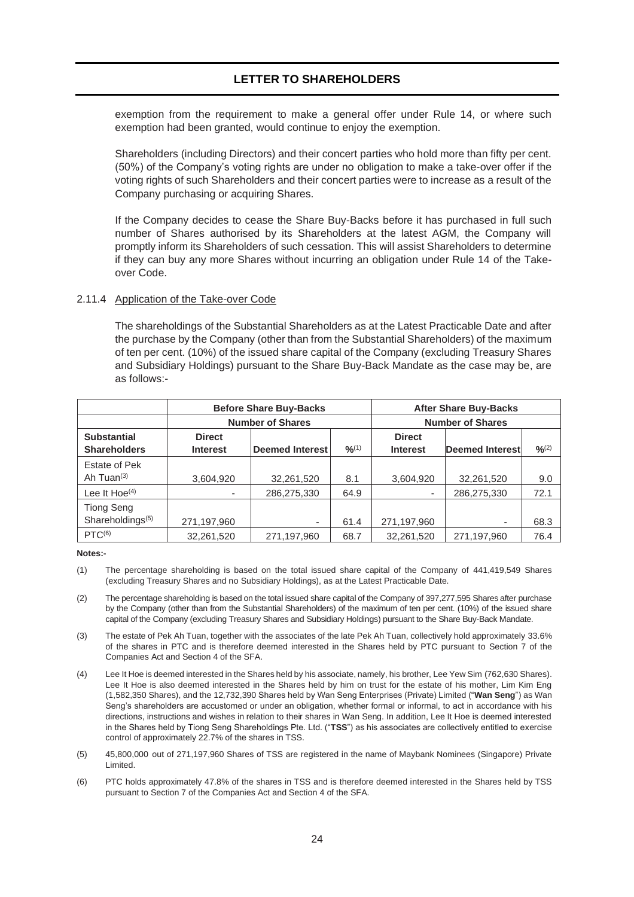exemption from the requirement to make a general offer under Rule 14, or where such exemption had been granted, would continue to enjoy the exemption.

Shareholders (including Directors) and their concert parties who hold more than fifty per cent. (50%) of the Company's voting rights are under no obligation to make a take-over offer if the voting rights of such Shareholders and their concert parties were to increase as a result of the Company purchasing or acquiring Shares.

If the Company decides to cease the Share Buy-Backs before it has purchased in full such number of Shares authorised by its Shareholders at the latest AGM, the Company will promptly inform its Shareholders of such cessation. This will assist Shareholders to determine if they can buy any more Shares without incurring an obligation under Rule 14 of the Takeover Code.

#### 2.11.4 Application of the Take-over Code

The shareholdings of the Substantial Shareholders as at the Latest Practicable Date and after the purchase by the Company (other than from the Substantial Shareholders) of the maximum of ten per cent. (10%) of the issued share capital of the Company (excluding Treasury Shares and Subsidiary Holdings) pursuant to the Share Buy-Back Mandate as the case may be, are as follows:-

|                                                   |                                  | <b>Before Share Buy-Backs</b> | <b>After Share Buy-Backs</b>     |                         |             |      |
|---------------------------------------------------|----------------------------------|-------------------------------|----------------------------------|-------------------------|-------------|------|
|                                                   |                                  | <b>Number of Shares</b>       |                                  | <b>Number of Shares</b> |             |      |
| <b>Substantial</b><br><b>Shareholders</b>         | <b>Direct</b><br><b>Interest</b> | <b>Deemed Interest</b>        | <b>Direct</b><br><b>Interest</b> | Deemed Interest         | $O_{10}(2)$ |      |
| Estate of Pek                                     |                                  |                               |                                  |                         |             |      |
| Ah Tuan $(3)$                                     | 3,604,920                        | 32,261,520                    | 8.1                              | 3,604,920               | 32,261,520  | 9.0  |
| Lee It Hoe <sup>(4)</sup>                         |                                  | 286,275,330                   | 64.9                             |                         | 286,275,330 | 72.1 |
| <b>Tiong Seng</b><br>Shareholdings <sup>(5)</sup> | 271,197,960                      | $\overline{\phantom{a}}$      | 61.4                             | 271,197,960             | ٠           | 68.3 |
| PTC <sup>(6)</sup>                                | 32,261,520                       | 271,197,960                   | 68.7                             | 32,261,520              | 271,197,960 | 76.4 |

**Notes:-**

- (1) The percentage shareholding is based on the total issued share capital of the Company of 441,419,549 Shares (excluding Treasury Shares and no Subsidiary Holdings), as at the Latest Practicable Date.
- (2) The percentage shareholding is based on the total issued share capital of the Company of 397,277,595 Shares after purchase by the Company (other than from the Substantial Shareholders) of the maximum of ten per cent. (10%) of the issued share capital of the Company (excluding Treasury Shares and Subsidiary Holdings) pursuant to the Share Buy-Back Mandate.
- (3) The estate of Pek Ah Tuan, together with the associates of the late Pek Ah Tuan, collectively hold approximately 33.6% of the shares in PTC and is therefore deemed interested in the Shares held by PTC pursuant to Section 7 of the Companies Act and Section 4 of the SFA.
- (4) Lee It Hoe is deemed interested in the Shares held by his associate, namely, his brother, Lee Yew Sim (762,630 Shares). Lee It Hoe is also deemed interested in the Shares held by him on trust for the estate of his mother, Lim Kim Eng (1,582,350 Shares), and the 12,732,390 Shares held by Wan Seng Enterprises (Private) Limited ("**Wan Seng**") as Wan Seng's shareholders are accustomed or under an obligation, whether formal or informal, to act in accordance with his directions, instructions and wishes in relation to their shares in Wan Seng. In addition, Lee It Hoe is deemed interested in the Shares held by Tiong Seng Shareholdings Pte. Ltd. ("**TSS**") as his associates are collectively entitled to exercise control of approximately 22.7% of the shares in TSS.
- (5) 45,800,000 out of 271,197,960 Shares of TSS are registered in the name of Maybank Nominees (Singapore) Private Limited.
- (6) PTC holds approximately 47.8% of the shares in TSS and is therefore deemed interested in the Shares held by TSS pursuant to Section 7 of the Companies Act and Section 4 of the SFA.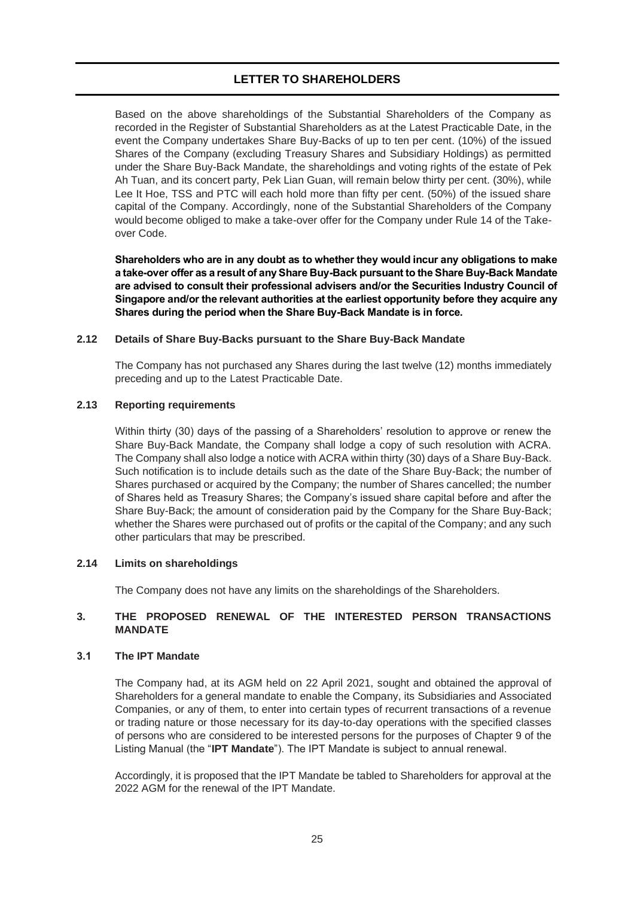Based on the above shareholdings of the Substantial Shareholders of the Company as recorded in the Register of Substantial Shareholders as at the Latest Practicable Date, in the event the Company undertakes Share Buy-Backs of up to ten per cent. (10%) of the issued Shares of the Company (excluding Treasury Shares and Subsidiary Holdings) as permitted under the Share Buy-Back Mandate, the shareholdings and voting rights of the estate of Pek Ah Tuan, and its concert party, Pek Lian Guan, will remain below thirty per cent. (30%), while Lee It Hoe, TSS and PTC will each hold more than fifty per cent. (50%) of the issued share capital of the Company. Accordingly, none of the Substantial Shareholders of the Company would become obliged to make a take-over offer for the Company under Rule 14 of the Takeover Code.

**Shareholders who are in any doubt as to whether they would incur any obligations to make a take-over offer as a result of any Share Buy-Back pursuant to the Share Buy-Back Mandate are advised to consult their professional advisers and/or the Securities Industry Council of Singapore and/or the relevant authorities at the earliest opportunity before they acquire any Shares during the period when the Share Buy-Back Mandate is in force.**

### **2.12 Details of Share Buy-Backs pursuant to the Share Buy-Back Mandate**

The Company has not purchased any Shares during the last twelve (12) months immediately preceding and up to the Latest Practicable Date.

### **2.13 Reporting requirements**

Within thirty (30) days of the passing of a Shareholders' resolution to approve or renew the Share Buy-Back Mandate, the Company shall lodge a copy of such resolution with ACRA. The Company shall also lodge a notice with ACRA within thirty (30) days of a Share Buy-Back. Such notification is to include details such as the date of the Share Buy-Back; the number of Shares purchased or acquired by the Company; the number of Shares cancelled; the number of Shares held as Treasury Shares; the Company's issued share capital before and after the Share Buy-Back; the amount of consideration paid by the Company for the Share Buy-Back; whether the Shares were purchased out of profits or the capital of the Company; and any such other particulars that may be prescribed.

#### **2.14 Limits on shareholdings**

The Company does not have any limits on the shareholdings of the Shareholders.

### <span id="page-24-0"></span>**3. THE PROPOSED RENEWAL OF THE INTERESTED PERSON TRANSACTIONS MANDATE**

#### **3.1 The IPT Mandate**

The Company had, at its AGM held on 22 April 2021, sought and obtained the approval of Shareholders for a general mandate to enable the Company, its Subsidiaries and Associated Companies, or any of them, to enter into certain types of recurrent transactions of a revenue or trading nature or those necessary for its day-to-day operations with the specified classes of persons who are considered to be interested persons for the purposes of Chapter 9 of the Listing Manual (the "**IPT Mandate**"). The IPT Mandate is subject to annual renewal.

Accordingly, it is proposed that the IPT Mandate be tabled to Shareholders for approval at the 2022 AGM for the renewal of the IPT Mandate.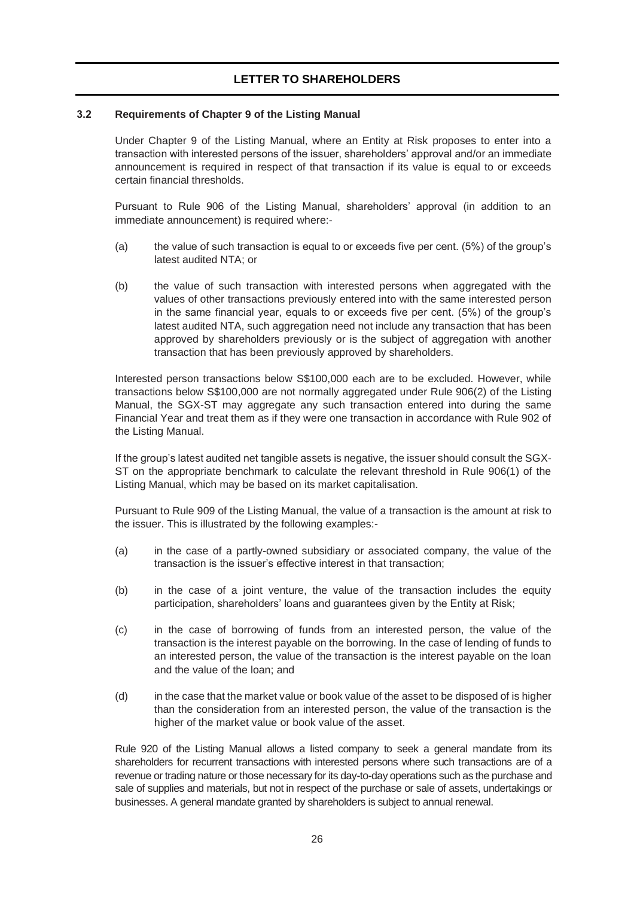### **3.2 Requirements of Chapter 9 of the Listing Manual**

Under Chapter 9 of the Listing Manual, where an Entity at Risk proposes to enter into a transaction with interested persons of the issuer, shareholders' approval and/or an immediate announcement is required in respect of that transaction if its value is equal to or exceeds certain financial thresholds.

Pursuant to Rule 906 of the Listing Manual, shareholders' approval (in addition to an immediate announcement) is required where:-

- (a) the value of such transaction is equal to or exceeds five per cent. (5%) of the group's latest audited NTA; or
- (b) the value of such transaction with interested persons when aggregated with the values of other transactions previously entered into with the same interested person in the same financial year, equals to or exceeds five per cent. (5%) of the group's latest audited NTA, such aggregation need not include any transaction that has been approved by shareholders previously or is the subject of aggregation with another transaction that has been previously approved by shareholders.

Interested person transactions below S\$100,000 each are to be excluded. However, while transactions below S\$100,000 are not normally aggregated under Rule 906(2) of the Listing Manual, the SGX-ST may aggregate any such transaction entered into during the same Financial Year and treat them as if they were one transaction in accordance with Rule 902 of the Listing Manual.

If the group's latest audited net tangible assets is negative, the issuer should consult the SGX-ST on the appropriate benchmark to calculate the relevant threshold in Rule 906(1) of the Listing Manual, which may be based on its market capitalisation.

Pursuant to Rule 909 of the Listing Manual, the value of a transaction is the amount at risk to the issuer. This is illustrated by the following examples:-

- (a) in the case of a partly-owned subsidiary or associated company, the value of the transaction is the issuer's effective interest in that transaction;
- (b) in the case of a joint venture, the value of the transaction includes the equity participation, shareholders' loans and guarantees given by the Entity at Risk;
- (c) in the case of borrowing of funds from an interested person, the value of the transaction is the interest payable on the borrowing. In the case of lending of funds to an interested person, the value of the transaction is the interest payable on the loan and the value of the loan; and
- (d) in the case that the market value or book value of the asset to be disposed of is higher than the consideration from an interested person, the value of the transaction is the higher of the market value or book value of the asset.

Rule 920 of the Listing Manual allows a listed company to seek a general mandate from its shareholders for recurrent transactions with interested persons where such transactions are of a revenue or trading nature or those necessary for its day-to-day operations such as the purchase and sale of supplies and materials, but not in respect of the purchase or sale of assets, undertakings or businesses. A general mandate granted by shareholders is subject to annual renewal.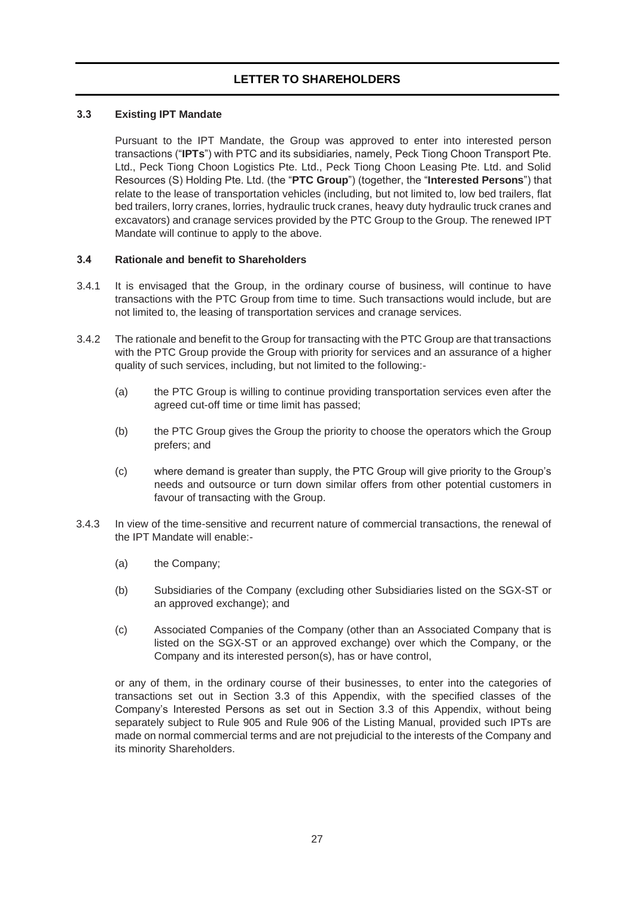## **3.3 Existing IPT Mandate**

Pursuant to the IPT Mandate, the Group was approved to enter into interested person transactions ("**IPTs**") with PTC and its subsidiaries, namely, Peck Tiong Choon Transport Pte. Ltd., Peck Tiong Choon Logistics Pte. Ltd., Peck Tiong Choon Leasing Pte. Ltd. and Solid Resources (S) Holding Pte. Ltd. (the "**PTC Group**") (together, the "**Interested Persons**") that relate to the lease of transportation vehicles (including, but not limited to, low bed trailers, flat bed trailers, lorry cranes, lorries, hydraulic truck cranes, heavy duty hydraulic truck cranes and excavators) and cranage services provided by the PTC Group to the Group. The renewed IPT Mandate will continue to apply to the above.

### **3.4 Rationale and benefit to Shareholders**

- 3.4.1 It is envisaged that the Group, in the ordinary course of business, will continue to have transactions with the PTC Group from time to time. Such transactions would include, but are not limited to, the leasing of transportation services and cranage services.
- 3.4.2 The rationale and benefit to the Group for transacting with the PTC Group are that transactions with the PTC Group provide the Group with priority for services and an assurance of a higher quality of such services, including, but not limited to the following:-
	- (a) the PTC Group is willing to continue providing transportation services even after the agreed cut-off time or time limit has passed;
	- (b) the PTC Group gives the Group the priority to choose the operators which the Group prefers; and
	- (c) where demand is greater than supply, the PTC Group will give priority to the Group's needs and outsource or turn down similar offers from other potential customers in favour of transacting with the Group.
- 3.4.3 In view of the time-sensitive and recurrent nature of commercial transactions, the renewal of the IPT Mandate will enable:-
	- (a) the Company;
	- (b) Subsidiaries of the Company (excluding other Subsidiaries listed on the SGX-ST or an approved exchange); and
	- (c) Associated Companies of the Company (other than an Associated Company that is listed on the SGX-ST or an approved exchange) over which the Company, or the Company and its interested person(s), has or have control,

or any of them, in the ordinary course of their businesses, to enter into the categories of transactions set out in Section 3.3 of this Appendix, with the specified classes of the Company's Interested Persons as set out in Section 3.3 of this Appendix, without being separately subject to Rule 905 and Rule 906 of the Listing Manual, provided such IPTs are made on normal commercial terms and are not prejudicial to the interests of the Company and its minority Shareholders.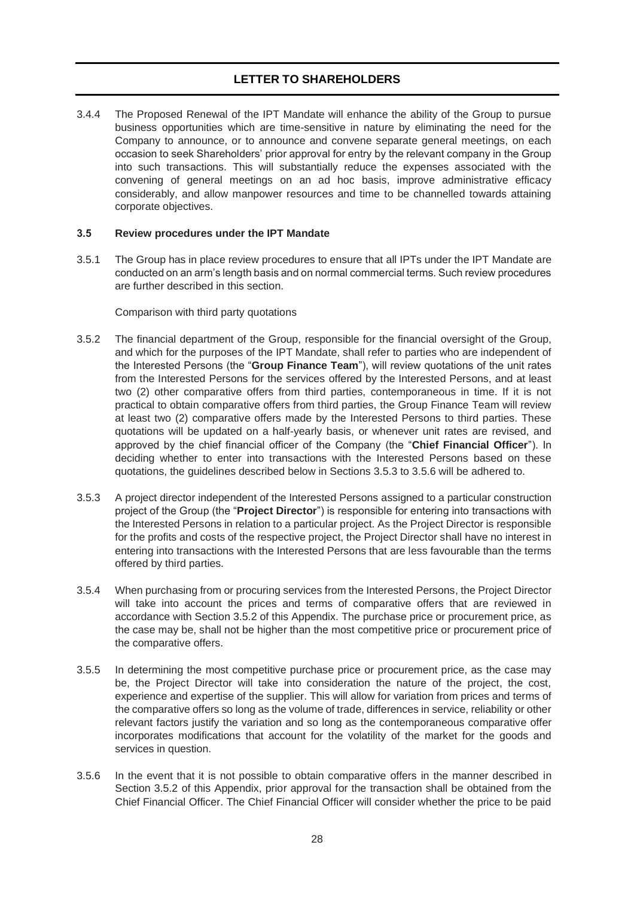3.4.4 The Proposed Renewal of the IPT Mandate will enhance the ability of the Group to pursue business opportunities which are time-sensitive in nature by eliminating the need for the Company to announce, or to announce and convene separate general meetings, on each occasion to seek Shareholders' prior approval for entry by the relevant company in the Group into such transactions. This will substantially reduce the expenses associated with the convening of general meetings on an ad hoc basis, improve administrative efficacy considerably, and allow manpower resources and time to be channelled towards attaining corporate objectives.

### **3.5 Review procedures under the IPT Mandate**

3.5.1 The Group has in place review procedures to ensure that all IPTs under the IPT Mandate are conducted on an arm's length basis and on normal commercial terms. Such review procedures are further described in this section.

Comparison with third party quotations

- 3.5.2 The financial department of the Group, responsible for the financial oversight of the Group, and which for the purposes of the IPT Mandate, shall refer to parties who are independent of the Interested Persons (the "**Group Finance Team**"), will review quotations of the unit rates from the Interested Persons for the services offered by the Interested Persons, and at least two (2) other comparative offers from third parties, contemporaneous in time. If it is not practical to obtain comparative offers from third parties, the Group Finance Team will review at least two (2) comparative offers made by the Interested Persons to third parties. These quotations will be updated on a half-yearly basis, or whenever unit rates are revised, and approved by the chief financial officer of the Company (the "**Chief Financial Officer**"). In deciding whether to enter into transactions with the Interested Persons based on these quotations, the guidelines described below in Sections 3.5.3 to 3.5.6 will be adhered to.
- 3.5.3 A project director independent of the Interested Persons assigned to a particular construction project of the Group (the "**Project Director**") is responsible for entering into transactions with the Interested Persons in relation to a particular project. As the Project Director is responsible for the profits and costs of the respective project, the Project Director shall have no interest in entering into transactions with the Interested Persons that are less favourable than the terms offered by third parties.
- 3.5.4 When purchasing from or procuring services from the Interested Persons, the Project Director will take into account the prices and terms of comparative offers that are reviewed in accordance with Section 3.5.2 of this Appendix. The purchase price or procurement price, as the case may be, shall not be higher than the most competitive price or procurement price of the comparative offers.
- 3.5.5 In determining the most competitive purchase price or procurement price, as the case may be, the Project Director will take into consideration the nature of the project, the cost, experience and expertise of the supplier. This will allow for variation from prices and terms of the comparative offers so long as the volume of trade, differences in service, reliability or other relevant factors justify the variation and so long as the contemporaneous comparative offer incorporates modifications that account for the volatility of the market for the goods and services in question.
- 3.5.6 In the event that it is not possible to obtain comparative offers in the manner described in Section 3.5.2 of this Appendix, prior approval for the transaction shall be obtained from the Chief Financial Officer. The Chief Financial Officer will consider whether the price to be paid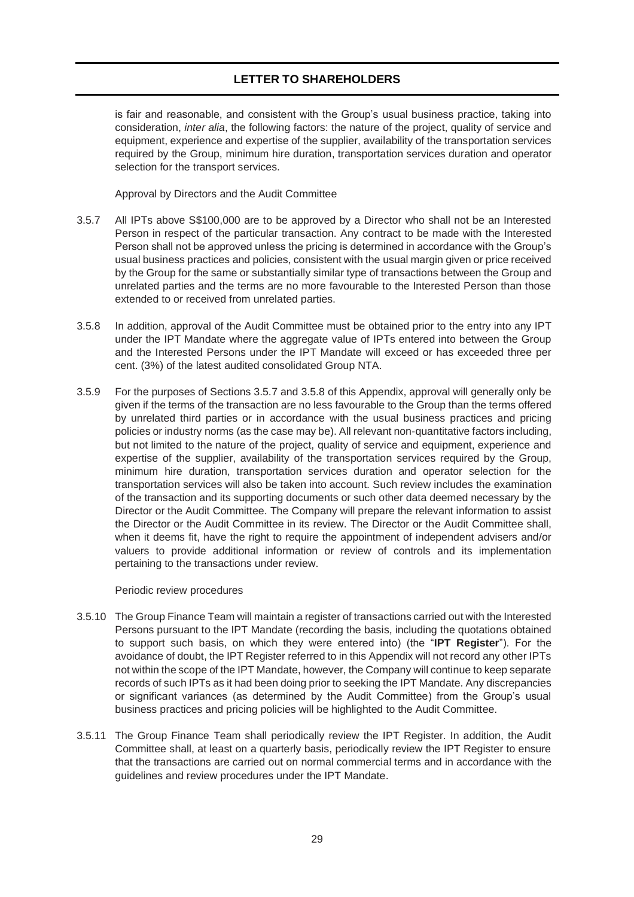is fair and reasonable, and consistent with the Group's usual business practice, taking into consideration, *inter alia*, the following factors: the nature of the project, quality of service and equipment, experience and expertise of the supplier, availability of the transportation services required by the Group, minimum hire duration, transportation services duration and operator selection for the transport services.

Approval by Directors and the Audit Committee

- 3.5.7 All IPTs above S\$100,000 are to be approved by a Director who shall not be an Interested Person in respect of the particular transaction. Any contract to be made with the Interested Person shall not be approved unless the pricing is determined in accordance with the Group's usual business practices and policies, consistent with the usual margin given or price received by the Group for the same or substantially similar type of transactions between the Group and unrelated parties and the terms are no more favourable to the Interested Person than those extended to or received from unrelated parties.
- 3.5.8 In addition, approval of the Audit Committee must be obtained prior to the entry into any IPT under the IPT Mandate where the aggregate value of IPTs entered into between the Group and the Interested Persons under the IPT Mandate will exceed or has exceeded three per cent. (3%) of the latest audited consolidated Group NTA.
- 3.5.9 For the purposes of Sections 3.5.7 and 3.5.8 of this Appendix, approval will generally only be given if the terms of the transaction are no less favourable to the Group than the terms offered by unrelated third parties or in accordance with the usual business practices and pricing policies or industry norms (as the case may be). All relevant non-quantitative factors including, but not limited to the nature of the project, quality of service and equipment, experience and expertise of the supplier, availability of the transportation services required by the Group, minimum hire duration, transportation services duration and operator selection for the transportation services will also be taken into account. Such review includes the examination of the transaction and its supporting documents or such other data deemed necessary by the Director or the Audit Committee. The Company will prepare the relevant information to assist the Director or the Audit Committee in its review. The Director or the Audit Committee shall, when it deems fit, have the right to require the appointment of independent advisers and/or valuers to provide additional information or review of controls and its implementation pertaining to the transactions under review.

#### Periodic review procedures

- 3.5.10 The Group Finance Team will maintain a register of transactions carried out with the Interested Persons pursuant to the IPT Mandate (recording the basis, including the quotations obtained to support such basis, on which they were entered into) (the "**IPT Register**"). For the avoidance of doubt, the IPT Register referred to in this Appendix will not record any other IPTs not within the scope of the IPT Mandate, however, the Company will continue to keep separate records of such IPTs as it had been doing prior to seeking the IPT Mandate. Any discrepancies or significant variances (as determined by the Audit Committee) from the Group's usual business practices and pricing policies will be highlighted to the Audit Committee.
- 3.5.11 The Group Finance Team shall periodically review the IPT Register. In addition, the Audit Committee shall, at least on a quarterly basis, periodically review the IPT Register to ensure that the transactions are carried out on normal commercial terms and in accordance with the guidelines and review procedures under the IPT Mandate.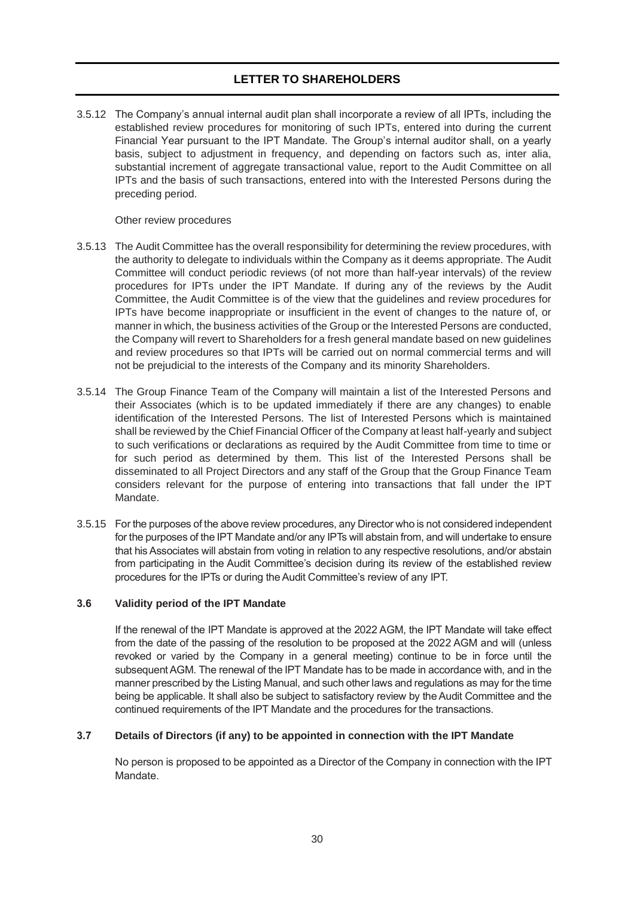3.5.12 The Company's annual internal audit plan shall incorporate a review of all IPTs, including the established review procedures for monitoring of such IPTs, entered into during the current Financial Year pursuant to the IPT Mandate. The Group's internal auditor shall, on a yearly basis, subject to adjustment in frequency, and depending on factors such as, inter alia, substantial increment of aggregate transactional value, report to the Audit Committee on all IPTs and the basis of such transactions, entered into with the Interested Persons during the preceding period.

Other review procedures

- 3.5.13 The Audit Committee has the overall responsibility for determining the review procedures, with the authority to delegate to individuals within the Company as it deems appropriate. The Audit Committee will conduct periodic reviews (of not more than half-year intervals) of the review procedures for IPTs under the IPT Mandate. If during any of the reviews by the Audit Committee, the Audit Committee is of the view that the guidelines and review procedures for IPTs have become inappropriate or insufficient in the event of changes to the nature of, or manner in which, the business activities of the Group or the Interested Persons are conducted, the Company will revert to Shareholders for a fresh general mandate based on new guidelines and review procedures so that IPTs will be carried out on normal commercial terms and will not be prejudicial to the interests of the Company and its minority Shareholders.
- 3.5.14 The Group Finance Team of the Company will maintain a list of the Interested Persons and their Associates (which is to be updated immediately if there are any changes) to enable identification of the Interested Persons. The list of Interested Persons which is maintained shall be reviewed by the Chief Financial Officer of the Company at least half-yearly and subject to such verifications or declarations as required by the Audit Committee from time to time or for such period as determined by them. This list of the Interested Persons shall be disseminated to all Project Directors and any staff of the Group that the Group Finance Team considers relevant for the purpose of entering into transactions that fall under the IPT Mandate.
- 3.5.15 For the purposes of the above review procedures, any Director who is not considered independent for the purposes of the IPT Mandate and/or any IPTs will abstain from, and will undertake to ensure that his Associates will abstain from voting in relation to any respective resolutions, and/or abstain from participating in the Audit Committee's decision during its review of the established review procedures for the IPTs or during the Audit Committee's review of any IPT.

### **3.6 Validity period of the IPT Mandate**

If the renewal of the IPT Mandate is approved at the 2022 AGM, the IPT Mandate will take effect from the date of the passing of the resolution to be proposed at the 2022 AGM and will (unless revoked or varied by the Company in a general meeting) continue to be in force until the subsequent AGM. The renewal of the IPT Mandate has to be made in accordance with, and in the manner prescribed by the Listing Manual, and such other laws and regulations as may for the time being be applicable. It shall also be subject to satisfactory review by the Audit Committee and the continued requirements of the IPT Mandate and the procedures for the transactions.

### **3.7 Details of Directors (if any) to be appointed in connection with the IPT Mandate**

No person is proposed to be appointed as a Director of the Company in connection with the IPT Mandate.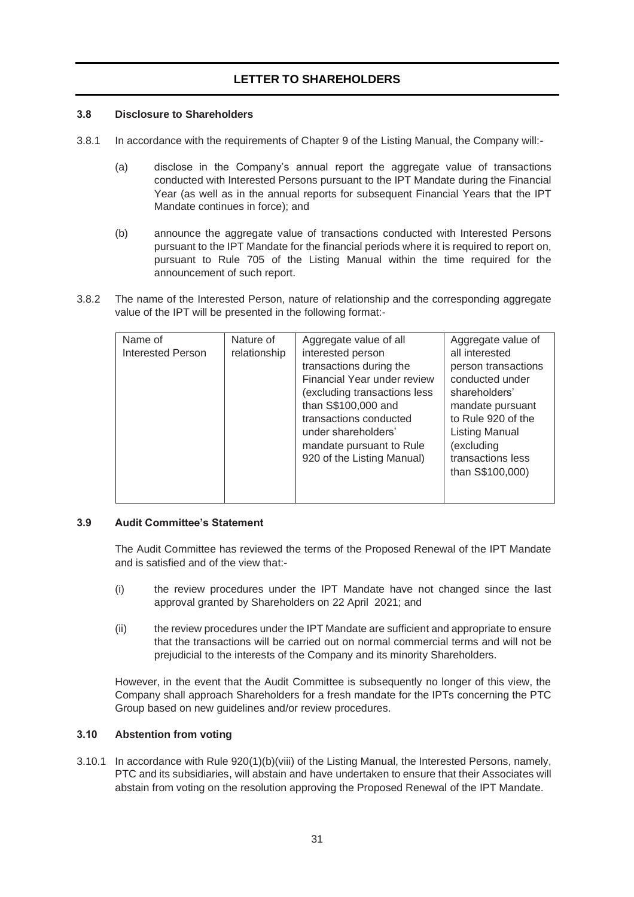### **3.8 Disclosure to Shareholders**

- 3.8.1 In accordance with the requirements of Chapter 9 of the Listing Manual, the Company will:-
	- (a) disclose in the Company's annual report the aggregate value of transactions conducted with Interested Persons pursuant to the IPT Mandate during the Financial Year (as well as in the annual reports for subsequent Financial Years that the IPT Mandate continues in force); and
	- (b) announce the aggregate value of transactions conducted with Interested Persons pursuant to the IPT Mandate for the financial periods where it is required to report on, pursuant to Rule 705 of the Listing Manual within the time required for the announcement of such report.
- 3.8.2 The name of the Interested Person, nature of relationship and the corresponding aggregate value of the IPT will be presented in the following format:-

| Name of                  | Nature of    | Aggregate value of all       | Aggregate value of  |  |
|--------------------------|--------------|------------------------------|---------------------|--|
| <b>Interested Person</b> | relationship | interested person            | all interested      |  |
|                          |              | transactions during the      | person transactions |  |
|                          |              | Financial Year under review  | conducted under     |  |
|                          |              | (excluding transactions less | shareholders'       |  |
|                          |              | than S\$100,000 and          | mandate pursuant    |  |
|                          |              | transactions conducted       | to Rule 920 of the  |  |
|                          |              | under shareholders'          | Listing Manual      |  |
|                          |              | mandate pursuant to Rule     | excluding)          |  |
|                          |              | 920 of the Listing Manual)   | transactions less   |  |
|                          |              |                              | than S\$100,000)    |  |
|                          |              |                              |                     |  |
|                          |              |                              |                     |  |

### **3.9 Audit Committee's Statement**

The Audit Committee has reviewed the terms of the Proposed Renewal of the IPT Mandate and is satisfied and of the view that:-

- (i) the review procedures under the IPT Mandate have not changed since the last approval granted by Shareholders on 22 April 2021; and
- (ii) the review procedures under the IPT Mandate are sufficient and appropriate to ensure that the transactions will be carried out on normal commercial terms and will not be prejudicial to the interests of the Company and its minority Shareholders.

However, in the event that the Audit Committee is subsequently no longer of this view, the Company shall approach Shareholders for a fresh mandate for the IPTs concerning the PTC Group based on new guidelines and/or review procedures.

## **3.10 Abstention from voting**

3.10.1 In accordance with Rule 920(1)(b)(viii) of the Listing Manual, the Interested Persons, namely, PTC and its subsidiaries, will abstain and have undertaken to ensure that their Associates will abstain from voting on the resolution approving the Proposed Renewal of the IPT Mandate.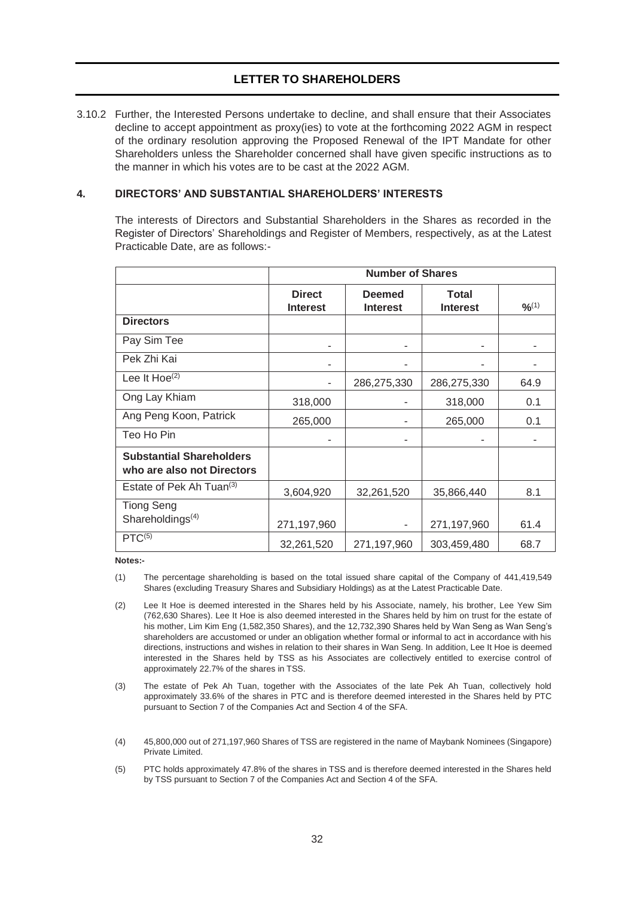3.10.2 Further, the Interested Persons undertake to decline, and shall ensure that their Associates decline to accept appointment as proxy(ies) to vote at the forthcoming 2022 AGM in respect of the ordinary resolution approving the Proposed Renewal of the IPT Mandate for other Shareholders unless the Shareholder concerned shall have given specific instructions as to the manner in which his votes are to be cast at the 2022 AGM.

### <span id="page-31-0"></span>**4. DIRECTORS' AND SUBSTANTIAL SHAREHOLDERS' INTERESTS**

The interests of Directors and Substantial Shareholders in the Shares as recorded in the Register of Directors' Shareholdings and Register of Members, respectively, as at the Latest Practicable Date, are as follows:-

|                                                                         | <b>Number of Shares</b>          |                                  |                          |             |
|-------------------------------------------------------------------------|----------------------------------|----------------------------------|--------------------------|-------------|
|                                                                         | <b>Direct</b><br><b>Interest</b> | <b>Deemed</b><br><b>Interest</b> | Total<br><b>Interest</b> | $9/6^{(1)}$ |
| <b>Directors</b>                                                        |                                  |                                  |                          |             |
| Pay Sim Tee                                                             |                                  |                                  |                          |             |
| Pek Zhi Kai                                                             |                                  |                                  |                          |             |
| Lee It Hoe <sup>(2)</sup>                                               |                                  | 286,275,330                      | 286,275,330              | 64.9        |
| Ong Lay Khiam                                                           | 318,000                          |                                  | 318,000                  | 0.1         |
| Ang Peng Koon, Patrick                                                  | 265,000                          |                                  | 265,000                  | 0.1         |
| Teo Ho Pin                                                              |                                  |                                  |                          |             |
| <b>Substantial Shareholders</b><br>who are also not Directors           |                                  |                                  |                          |             |
| Estate of Pek Ah Tuan <sup>(3)</sup>                                    | 3,604,920                        | 32,261,520                       | 35,866,440               | 8.1         |
| <b>Tiong Seng</b><br>Shareholdings <sup>(4)</sup><br>PTC <sup>(5)</sup> | 271,197,960                      |                                  | 271,197,960              | 61.4        |
|                                                                         | 32,261,520                       | 271,197,960                      | 303,459,480              | 68.7        |

**Notes:-**

- (1) The percentage shareholding is based on the total issued share capital of the Company of 441,419,549 Shares (excluding Treasury Shares and Subsidiary Holdings) as at the Latest Practicable Date.
- (2) Lee It Hoe is deemed interested in the Shares held by his Associate, namely, his brother, Lee Yew Sim (762,630 Shares). Lee It Hoe is also deemed interested in the Shares held by him on trust for the estate of his mother, Lim Kim Eng (1,582,350 Shares), and the 12,732,390 Shares held by Wan Seng as Wan Seng's shareholders are accustomed or under an obligation whether formal or informal to act in accordance with his directions, instructions and wishes in relation to their shares in Wan Seng. In addition, Lee It Hoe is deemed interested in the Shares held by TSS as his Associates are collectively entitled to exercise control of approximately 22.7% of the shares in TSS.
- (3) The estate of Pek Ah Tuan, together with the Associates of the late Pek Ah Tuan, collectively hold approximately 33.6% of the shares in PTC and is therefore deemed interested in the Shares held by PTC pursuant to Section 7 of the Companies Act and Section 4 of the SFA.
- (4) 45,800,000 out of 271,197,960 Shares of TSS are registered in the name of Maybank Nominees (Singapore) Private Limited.
- (5) PTC holds approximately 47.8% of the shares in TSS and is therefore deemed interested in the Shares held by TSS pursuant to Section 7 of the Companies Act and Section 4 of the SFA.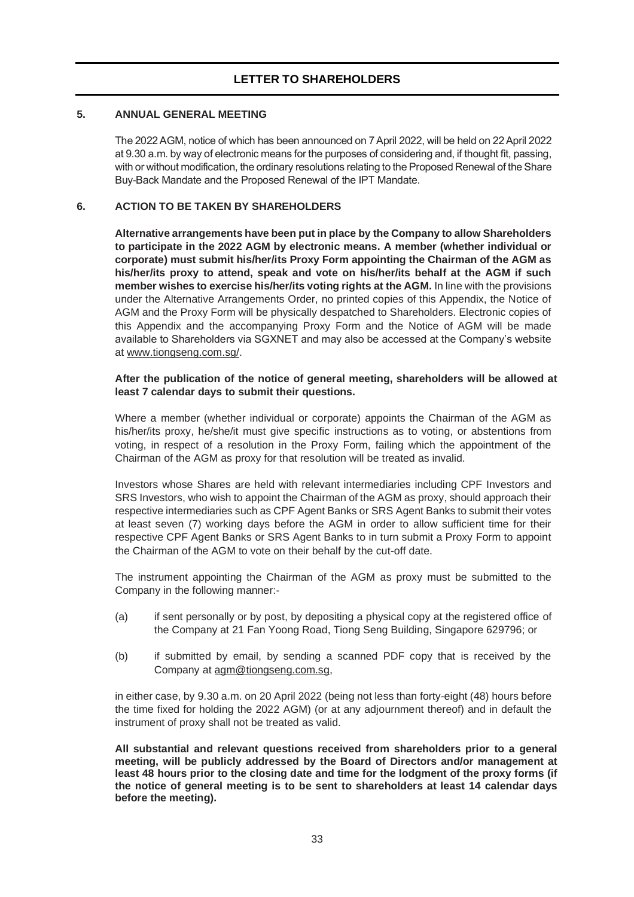## <span id="page-32-0"></span>**5. ANNUAL GENERAL MEETING**

The 2022AGM, notice of which has been announced on 7April 2022, will be held on 22 April2022 at 9.30 a.m. by way of electronic means for the purposes of considering and, if thought fit, passing, with or without modification, the ordinary resolutions relating tothe Proposed Renewal of the Share Buy-Back Mandate and the Proposed Renewal of the IPT Mandate.

## <span id="page-32-1"></span>**6. ACTION TO BE TAKEN BY SHAREHOLDERS**

**Alternative arrangements have been put in place by the Company to allow Shareholders to participate in the 2022 AGM by electronic means. A member (whether individual or corporate) must submit his/her/its Proxy Form appointing the Chairman of the AGM as his/her/its proxy to attend, speak and vote on his/her/its behalf at the AGM if such member wishes to exercise his/her/its voting rights at the AGM.** In line with the provisions under the Alternative Arrangements Order, no printed copies of this Appendix, the Notice of AGM and the Proxy Form will be physically despatched to Shareholders. Electronic copies of this Appendix and the accompanying Proxy Form and the Notice of AGM will be made available to Shareholders via SGXNET and may also be accessed at the Company's website at [www.tiongseng.com.sg/.](http://www.tiongseng.com.sg/)

### **After the publication of the notice of general meeting, shareholders will be allowed at least 7 calendar days to submit their questions.**

Where a member (whether individual or corporate) appoints the Chairman of the AGM as his/her/its proxy, he/she/it must give specific instructions as to voting, or abstentions from voting, in respect of a resolution in the Proxy Form, failing which the appointment of the Chairman of the AGM as proxy for that resolution will be treated as invalid.

Investors whose Shares are held with relevant intermediaries including CPF Investors and SRS Investors, who wish to appoint the Chairman of the AGM as proxy, should approach their respective intermediaries such as CPF Agent Banks or SRS Agent Banks to submit their votes at least seven (7) working days before the AGM in order to allow sufficient time for their respective CPF Agent Banks or SRS Agent Banks to in turn submit a Proxy Form to appoint the Chairman of the AGM to vote on their behalf by the cut-off date.

The instrument appointing the Chairman of the AGM as proxy must be submitted to the Company in the following manner:-

- (a) if sent personally or by post, by depositing a physical copy at the registered office of the Company at 21 Fan Yoong Road, Tiong Seng Building, Singapore 629796; or
- (b) if submitted by email, by sending a scanned PDF copy that is received by the Company at [agm@tiongseng.com.sg,](mailto:agm@tiongseng.com.sg)

in either case, by 9.30 a.m. on 20 April 2022 (being not less than forty-eight (48) hours before the time fixed for holding the 2022 AGM) (or at any adjournment thereof) and in default the instrument of proxy shall not be treated as valid.

**All substantial and relevant questions received from shareholders prior to a general meeting, will be publicly addressed by the Board of Directors and/or management at least 48 hours prior to the closing date and time for the lodgment of the proxy forms (if the notice of general meeting is to be sent to shareholders at least 14 calendar days before the meeting).**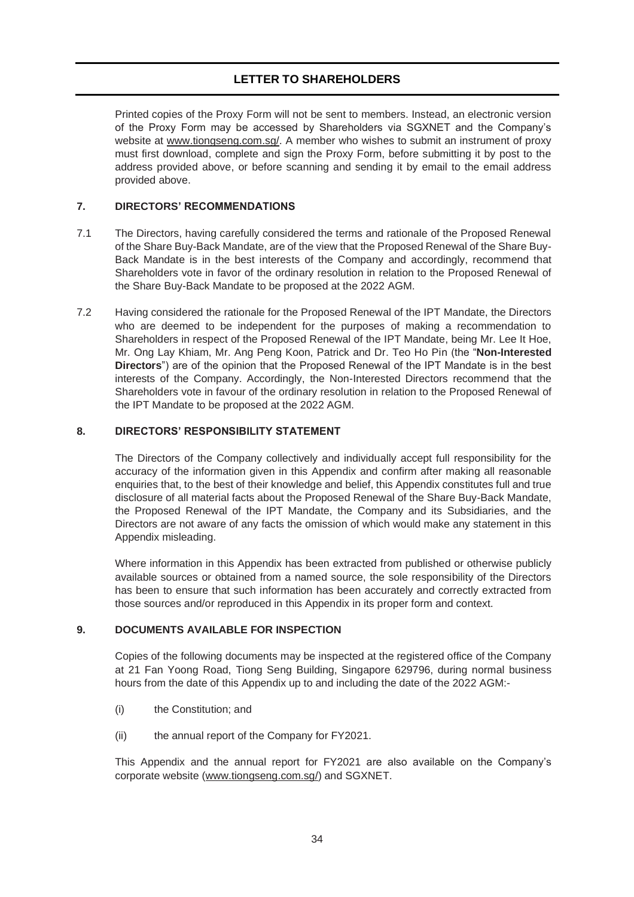Printed copies of the Proxy Form will not be sent to members. Instead, an electronic version of the Proxy Form may be accessed by Shareholders via SGXNET and the Company's website at [www.tiongseng.com.sg/.](http://www.tiongseng.com.sg/) A member who wishes to submit an instrument of proxy must first download, complete and sign the Proxy Form, before submitting it by post to the address provided above, or before scanning and sending it by email to the email address provided above.

## <span id="page-33-0"></span>**7. DIRECTORS' RECOMMENDATIONS**

- 7.1 The Directors, having carefully considered the terms and rationale of the Proposed Renewal of the Share Buy-Back Mandate, are of the view that the Proposed Renewal of the Share Buy-Back Mandate is in the best interests of the Company and accordingly, recommend that Shareholders vote in favor of the ordinary resolution in relation to the Proposed Renewal of the Share Buy-Back Mandate to be proposed at the 2022 AGM.
- 7.2 Having considered the rationale for the Proposed Renewal of the IPT Mandate, the Directors who are deemed to be independent for the purposes of making a recommendation to Shareholders in respect of the Proposed Renewal of the IPT Mandate, being Mr. Lee It Hoe, Mr. Ong Lay Khiam, Mr. Ang Peng Koon, Patrick and Dr. Teo Ho Pin (the "**Non-Interested Directors**") are of the opinion that the Proposed Renewal of the IPT Mandate is in the best interests of the Company. Accordingly, the Non-Interested Directors recommend that the Shareholders vote in favour of the ordinary resolution in relation to the Proposed Renewal of the IPT Mandate to be proposed at the 2022 AGM.

### <span id="page-33-1"></span>**8. DIRECTORS' RESPONSIBILITY STATEMENT**

The Directors of the Company collectively and individually accept full responsibility for the accuracy of the information given in this Appendix and confirm after making all reasonable enquiries that, to the best of their knowledge and belief, this Appendix constitutes full and true disclosure of all material facts about the Proposed Renewal of the Share Buy-Back Mandate, the Proposed Renewal of the IPT Mandate, the Company and its Subsidiaries, and the Directors are not aware of any facts the omission of which would make any statement in this Appendix misleading.

Where information in this Appendix has been extracted from published or otherwise publicly available sources or obtained from a named source, the sole responsibility of the Directors has been to ensure that such information has been accurately and correctly extracted from those sources and/or reproduced in this Appendix in its proper form and context.

### <span id="page-33-2"></span>**9. DOCUMENTS AVAILABLE FOR INSPECTION**

Copies of the following documents may be inspected at the registered office of the Company at 21 Fan Yoong Road, Tiong Seng Building, Singapore 629796, during normal business hours from the date of this Appendix up to and including the date of the 2022 AGM:-

- (i) the Constitution; and
- (ii) the annual report of the Company for FY2021.

This Appendix and the annual report for FY2021 are also available on the Company's corporate website [\(www.tiongseng.com.sg/\) a](http://www.tiongseng.com.sg/))nd SGXNET.